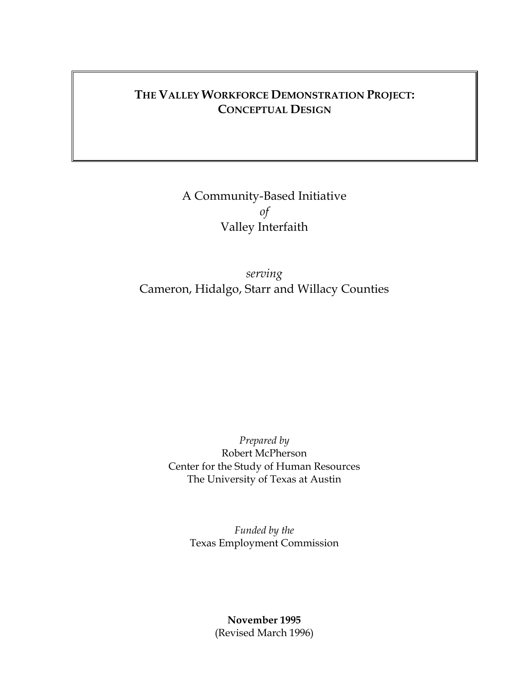# **THE VALLEY WORKFORCE DEMONSTRATION PROJECT: CONCEPTUAL DESIGN**

# A Community-Based Initiative *of*  Valley Interfaith

*serving* Cameron, Hidalgo, Starr and Willacy Counties

> *Prepared by* Robert McPherson Center for the Study of Human Resources The University of Texas at Austin

> > *Funded by the* Texas Employment Commission

> > > **November 1995**  (Revised March 1996)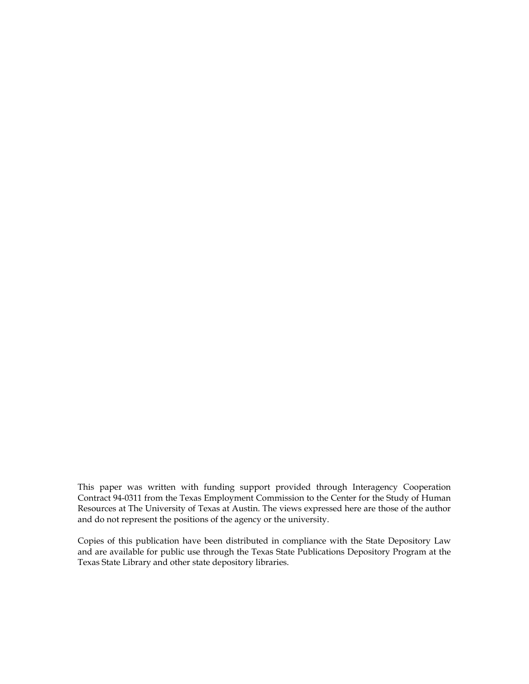This paper was written with funding support provided through Interagency Cooperation Contract 94-0311 from the Texas Employment Commission to the Center for the Study of Human Resources at The University of Texas at Austin. The views expressed here are those of the author and do not represent the positions of the agency or the university.

Copies of this publication have been distributed in compliance with the State Depository Law and are available for public use through the Texas State Publications Depository Program at the Texas State Library and other state depository libraries.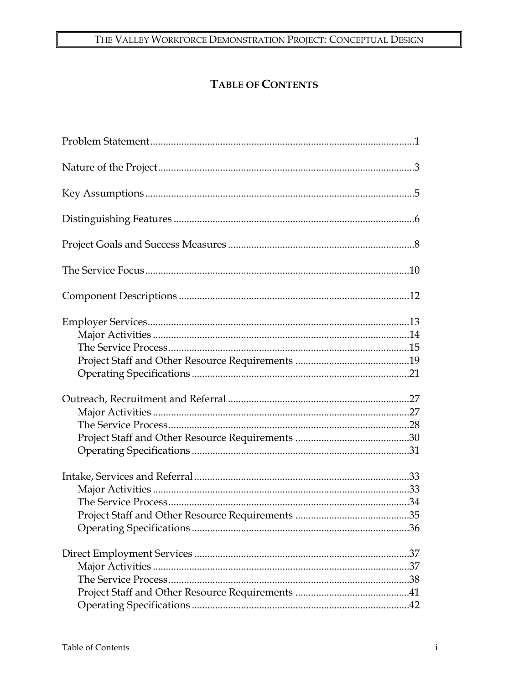# TABLE OF CONTENTS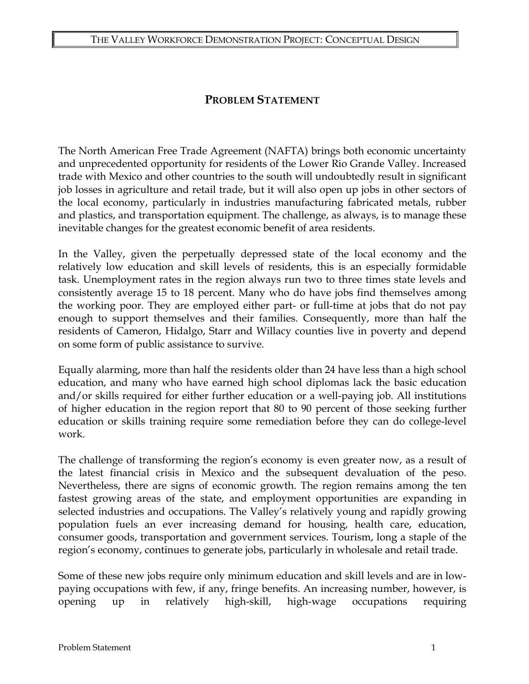### **PROBLEM STATEMENT**

The North American Free Trade Agreement (NAFTA) brings both economic uncertainty and unprecedented opportunity for residents of the Lower Rio Grande Valley. Increased trade with Mexico and other countries to the south will undoubtedly result in significant job losses in agriculture and retail trade, but it will also open up jobs in other sectors of the local economy, particularly in industries manufacturing fabricated metals, rubber and plastics, and transportation equipment. The challenge, as always, is to manage these inevitable changes for the greatest economic benefit of area residents.

In the Valley, given the perpetually depressed state of the local economy and the relatively low education and skill levels of residents, this is an especially formidable task. Unemployment rates in the region always run two to three times state levels and consistently average 15 to 18 percent. Many who do have jobs find themselves among the working poor. They are employed either part- or full-time at jobs that do not pay enough to support themselves and their families. Consequently, more than half the residents of Cameron, Hidalgo, Starr and Willacy counties live in poverty and depend on some form of public assistance to survive.

Equally alarming, more than half the residents older than 24 have less than a high school education, and many who have earned high school diplomas lack the basic education and/or skills required for either further education or a well-paying job. All institutions of higher education in the region report that 80 to 90 percent of those seeking further education or skills training require some remediation before they can do college-level work.

The challenge of transforming the region's economy is even greater now, as a result of the latest financial crisis in Mexico and the subsequent devaluation of the peso. Nevertheless, there are signs of economic growth. The region remains among the ten fastest growing areas of the state, and employment opportunities are expanding in selected industries and occupations. The Valley's relatively young and rapidly growing population fuels an ever increasing demand for housing, health care, education, consumer goods, transportation and government services. Tourism, long a staple of the region's economy, continues to generate jobs, particularly in wholesale and retail trade.

Some of these new jobs require only minimum education and skill levels and are in lowpaying occupations with few, if any, fringe benefits. An increasing number, however, is opening up in relatively high-skill, high-wage occupations requiring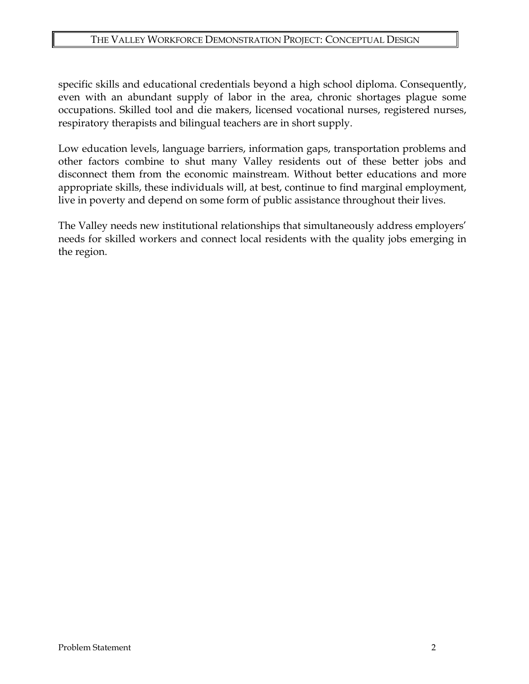#### THE VALLEY WORKFORCE DEMONSTRATION PROJECT: CONCEPTUAL DESIGN

specific skills and educational credentials beyond a high school diploma. Consequently, even with an abundant supply of labor in the area, chronic shortages plague some occupations. Skilled tool and die makers, licensed vocational nurses, registered nurses, respiratory therapists and bilingual teachers are in short supply.

Low education levels, language barriers, information gaps, transportation problems and other factors combine to shut many Valley residents out of these better jobs and disconnect them from the economic mainstream. Without better educations and more appropriate skills, these individuals will, at best, continue to find marginal employment, live in poverty and depend on some form of public assistance throughout their lives.

The Valley needs new institutional relationships that simultaneously address employers' needs for skilled workers and connect local residents with the quality jobs emerging in the region.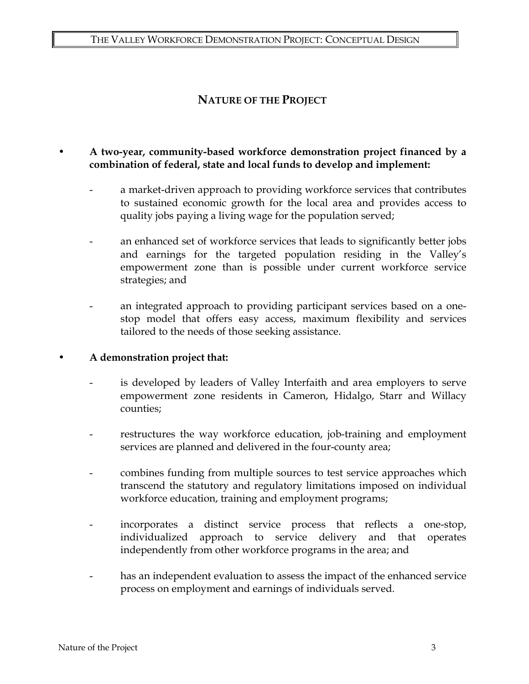### **NATURE OF THE PROJECT**

### • **A two-year, community-based workforce demonstration project financed by a combination of federal, state and local funds to develop and implement:**

- a market-driven approach to providing workforce services that contributes to sustained economic growth for the local area and provides access to quality jobs paying a living wage for the population served;
- an enhanced set of workforce services that leads to significantly better jobs and earnings for the targeted population residing in the Valley's empowerment zone than is possible under current workforce service strategies; and
- an integrated approach to providing participant services based on a onestop model that offers easy access, maximum flexibility and services tailored to the needs of those seeking assistance.

#### • **A demonstration project that:**

- is developed by leaders of Valley Interfaith and area employers to serve empowerment zone residents in Cameron, Hidalgo, Starr and Willacy counties;
- restructures the way workforce education, job-training and employment services are planned and delivered in the four-county area;
- combines funding from multiple sources to test service approaches which transcend the statutory and regulatory limitations imposed on individual workforce education, training and employment programs;
- incorporates a distinct service process that reflects a one-stop, individualized approach to service delivery and that operates independently from other workforce programs in the area; and
- has an independent evaluation to assess the impact of the enhanced service process on employment and earnings of individuals served.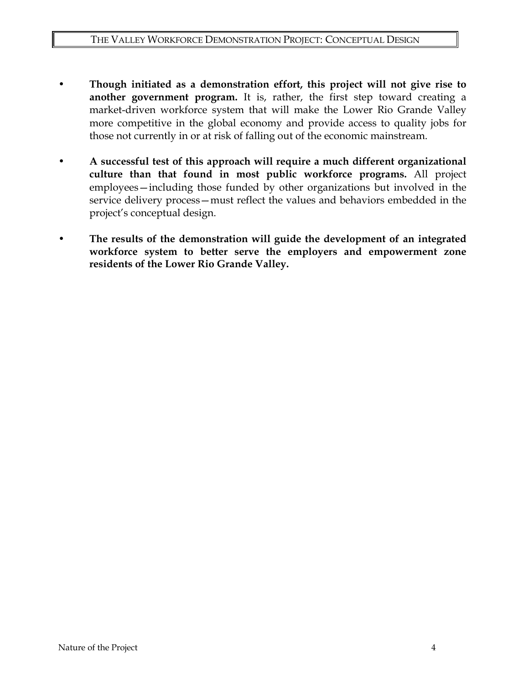- **Though initiated as a demonstration effort, this project will not give rise to another government program.** It is, rather, the first step toward creating a market-driven workforce system that will make the Lower Rio Grande Valley more competitive in the global economy and provide access to quality jobs for those not currently in or at risk of falling out of the economic mainstream.
- **A successful test of this approach will require a much different organizational culture than that found in most public workforce programs.** All project employees—including those funded by other organizations but involved in the service delivery process—must reflect the values and behaviors embedded in the project's conceptual design.
- **The results of the demonstration will guide the development of an integrated workforce system to better serve the employers and empowerment zone residents of the Lower Rio Grande Valley.**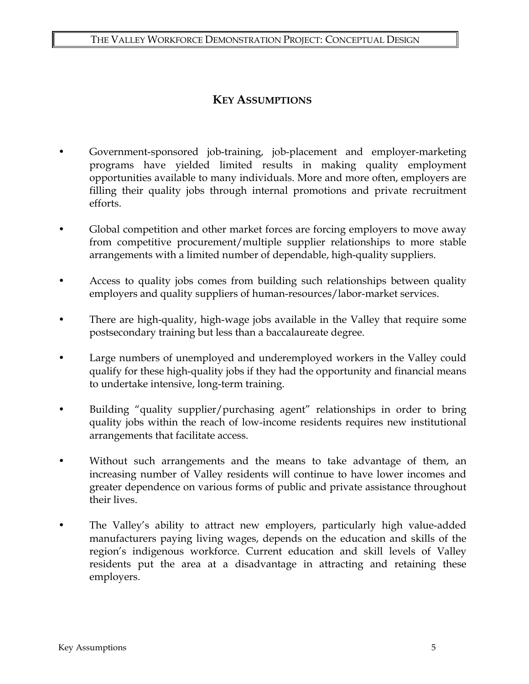### **KEY ASSUMPTIONS**

- Government-sponsored job-training, job-placement and employer-marketing programs have yielded limited results in making quality employment opportunities available to many individuals. More and more often, employers are filling their quality jobs through internal promotions and private recruitment efforts.
- Global competition and other market forces are forcing employers to move away from competitive procurement/multiple supplier relationships to more stable arrangements with a limited number of dependable, high-quality suppliers.
- Access to quality jobs comes from building such relationships between quality employers and quality suppliers of human-resources/labor-market services.
- There are high-quality, high-wage jobs available in the Valley that require some postsecondary training but less than a baccalaureate degree.
- Large numbers of unemployed and underemployed workers in the Valley could qualify for these high-quality jobs if they had the opportunity and financial means to undertake intensive, long-term training.
- Building "quality supplier/purchasing agent" relationships in order to bring quality jobs within the reach of low-income residents requires new institutional arrangements that facilitate access.
- Without such arrangements and the means to take advantage of them, an increasing number of Valley residents will continue to have lower incomes and greater dependence on various forms of public and private assistance throughout their lives.
- The Valley's ability to attract new employers, particularly high value-added manufacturers paying living wages, depends on the education and skills of the region's indigenous workforce. Current education and skill levels of Valley residents put the area at a disadvantage in attracting and retaining these employers.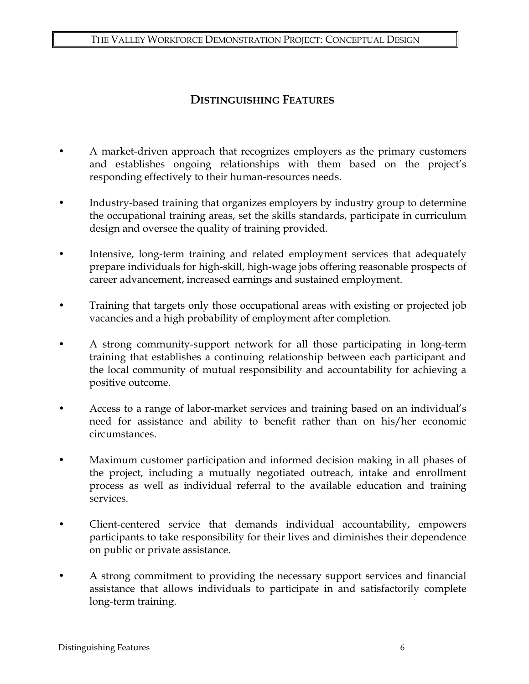#### THE VALLEY WORKFORCE DEMONSTRATION PROJECT: CONCEPTUAL DESIGN

### **DISTINGUISHING FEATURES**

- A market-driven approach that recognizes employers as the primary customers and establishes ongoing relationships with them based on the project's responding effectively to their human-resources needs.
- Industry-based training that organizes employers by industry group to determine the occupational training areas, set the skills standards, participate in curriculum design and oversee the quality of training provided.
- Intensive, long-term training and related employment services that adequately prepare individuals for high-skill, high-wage jobs offering reasonable prospects of career advancement, increased earnings and sustained employment.
- Training that targets only those occupational areas with existing or projected job vacancies and a high probability of employment after completion.
- A strong community-support network for all those participating in long-term training that establishes a continuing relationship between each participant and the local community of mutual responsibility and accountability for achieving a positive outcome.
- Access to a range of labor-market services and training based on an individual's need for assistance and ability to benefit rather than on his/her economic circumstances.
- Maximum customer participation and informed decision making in all phases of the project, including a mutually negotiated outreach, intake and enrollment process as well as individual referral to the available education and training services.
- Client-centered service that demands individual accountability, empowers participants to take responsibility for their lives and diminishes their dependence on public or private assistance.
- A strong commitment to providing the necessary support services and financial assistance that allows individuals to participate in and satisfactorily complete long-term training.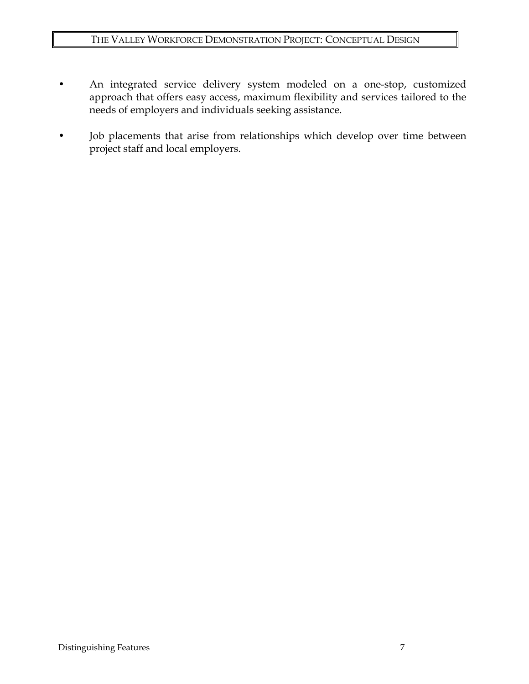- An integrated service delivery system modeled on a one-stop, customized approach that offers easy access, maximum flexibility and services tailored to the needs of employers and individuals seeking assistance.
- Job placements that arise from relationships which develop over time between project staff and local employers.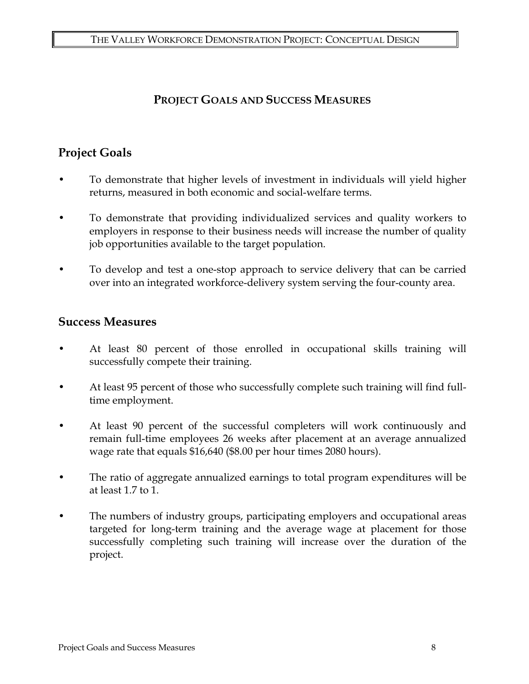### **PROJECT GOALS AND SUCCESS MEASURES**

# **Project Goals**

- To demonstrate that higher levels of investment in individuals will yield higher returns, measured in both economic and social-welfare terms.
- To demonstrate that providing individualized services and quality workers to employers in response to their business needs will increase the number of quality job opportunities available to the target population.
- To develop and test a one-stop approach to service delivery that can be carried over into an integrated workforce-delivery system serving the four-county area.

### **Success Measures**

- At least 80 percent of those enrolled in occupational skills training will successfully compete their training.
- At least 95 percent of those who successfully complete such training will find fulltime employment.
- At least 90 percent of the successful completers will work continuously and remain full-time employees 26 weeks after placement at an average annualized wage rate that equals \$16,640 (\$8.00 per hour times 2080 hours).
- The ratio of aggregate annualized earnings to total program expenditures will be at least 1.7 to 1.
- The numbers of industry groups, participating employers and occupational areas targeted for long-term training and the average wage at placement for those successfully completing such training will increase over the duration of the project.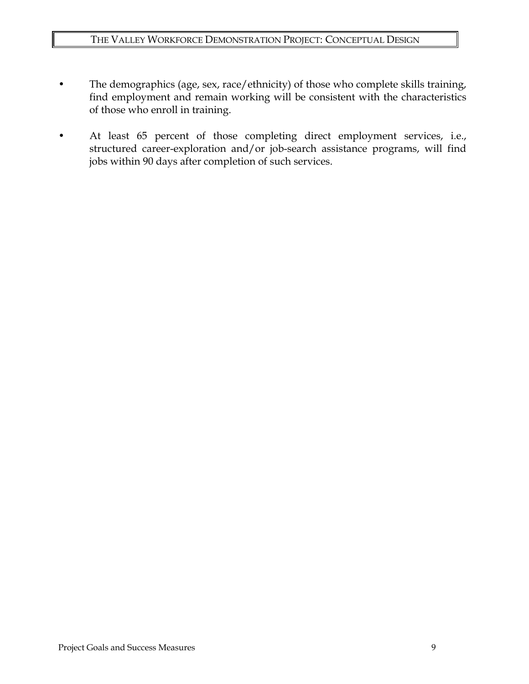- The demographics (age, sex, race/ethnicity) of those who complete skills training, find employment and remain working will be consistent with the characteristics of those who enroll in training.
- At least 65 percent of those completing direct employment services, i.e., structured career-exploration and/or job-search assistance programs, will find jobs within 90 days after completion of such services.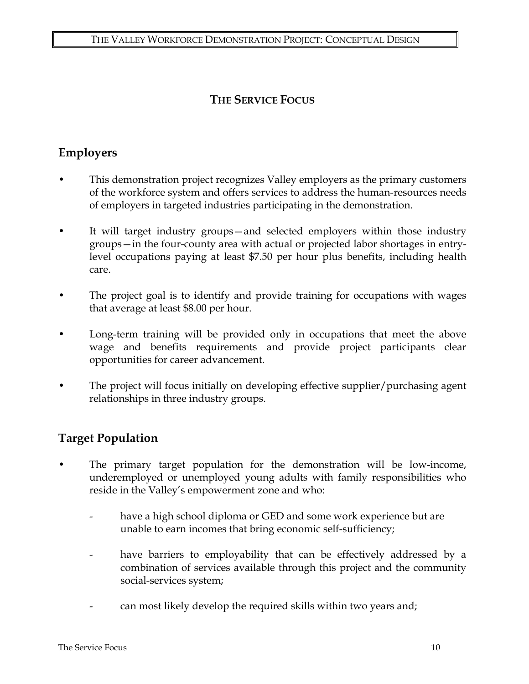# **THE SERVICE FOCUS**

# **Employers**

- This demonstration project recognizes Valley employers as the primary customers of the workforce system and offers services to address the human-resources needs of employers in targeted industries participating in the demonstration.
- It will target industry groups—and selected employers within those industry groups—in the four-county area with actual or projected labor shortages in entrylevel occupations paying at least \$7.50 per hour plus benefits, including health care.
- The project goal is to identify and provide training for occupations with wages that average at least \$8.00 per hour.
- Long-term training will be provided only in occupations that meet the above wage and benefits requirements and provide project participants clear opportunities for career advancement.
- The project will focus initially on developing effective supplier/purchasing agent relationships in three industry groups.

# **Target Population**

- The primary target population for the demonstration will be low-income, underemployed or unemployed young adults with family responsibilities who reside in the Valley's empowerment zone and who:
	- have a high school diploma or GED and some work experience but are unable to earn incomes that bring economic self-sufficiency;
	- have barriers to employability that can be effectively addressed by a combination of services available through this project and the community social-services system;
	- can most likely develop the required skills within two years and;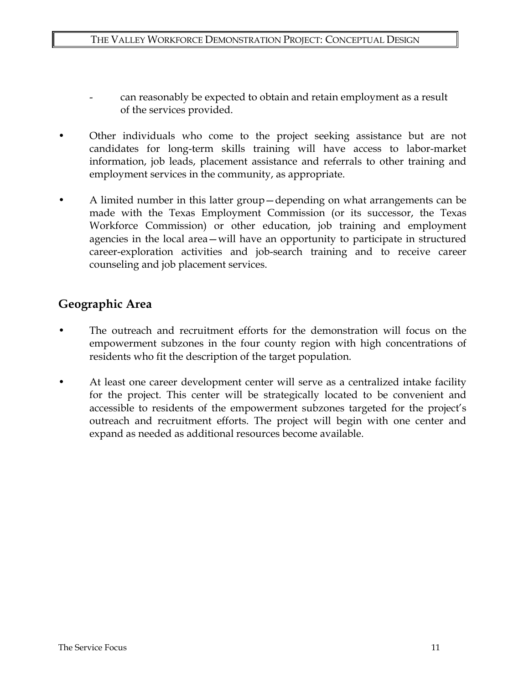- can reasonably be expected to obtain and retain employment as a result of the services provided.
- Other individuals who come to the project seeking assistance but are not candidates for long-term skills training will have access to labor-market information, job leads, placement assistance and referrals to other training and employment services in the community, as appropriate.
- A limited number in this latter group—depending on what arrangements can be made with the Texas Employment Commission (or its successor, the Texas Workforce Commission) or other education, job training and employment agencies in the local area—will have an opportunity to participate in structured career-exploration activities and job-search training and to receive career counseling and job placement services.

### **Geographic Area**

- The outreach and recruitment efforts for the demonstration will focus on the empowerment subzones in the four county region with high concentrations of residents who fit the description of the target population.
- At least one career development center will serve as a centralized intake facility for the project. This center will be strategically located to be convenient and accessible to residents of the empowerment subzones targeted for the project's outreach and recruitment efforts. The project will begin with one center and expand as needed as additional resources become available.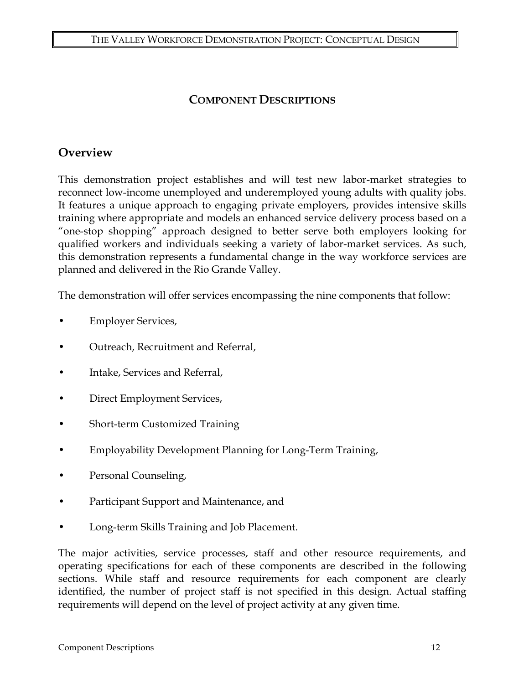### **COMPONENT DESCRIPTIONS**

### **Overview**

This demonstration project establishes and will test new labor-market strategies to reconnect low-income unemployed and underemployed young adults with quality jobs. It features a unique approach to engaging private employers, provides intensive skills training where appropriate and models an enhanced service delivery process based on a "one-stop shopping" approach designed to better serve both employers looking for qualified workers and individuals seeking a variety of labor-market services. As such, this demonstration represents a fundamental change in the way workforce services are planned and delivered in the Rio Grande Valley.

The demonstration will offer services encompassing the nine components that follow:

- Employer Services,
- Outreach, Recruitment and Referral,
- Intake, Services and Referral,
- Direct Employment Services,
- Short-term Customized Training
- Employability Development Planning for Long-Term Training,
- Personal Counseling,
- Participant Support and Maintenance, and
- Long-term Skills Training and Job Placement.

The major activities, service processes, staff and other resource requirements, and operating specifications for each of these components are described in the following sections. While staff and resource requirements for each component are clearly identified, the number of project staff is not specified in this design. Actual staffing requirements will depend on the level of project activity at any given time.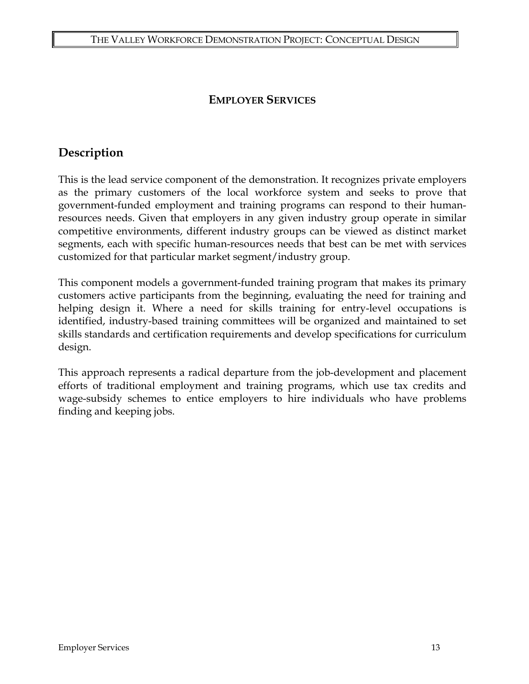### **EMPLOYER SERVICES**

### **Description**

This is the lead service component of the demonstration. It recognizes private employers as the primary customers of the local workforce system and seeks to prove that government-funded employment and training programs can respond to their humanresources needs. Given that employers in any given industry group operate in similar competitive environments, different industry groups can be viewed as distinct market segments, each with specific human-resources needs that best can be met with services customized for that particular market segment/industry group.

This component models a government-funded training program that makes its primary customers active participants from the beginning, evaluating the need for training and helping design it. Where a need for skills training for entry-level occupations is identified, industry-based training committees will be organized and maintained to set skills standards and certification requirements and develop specifications for curriculum design.

This approach represents a radical departure from the job-development and placement efforts of traditional employment and training programs, which use tax credits and wage-subsidy schemes to entice employers to hire individuals who have problems finding and keeping jobs.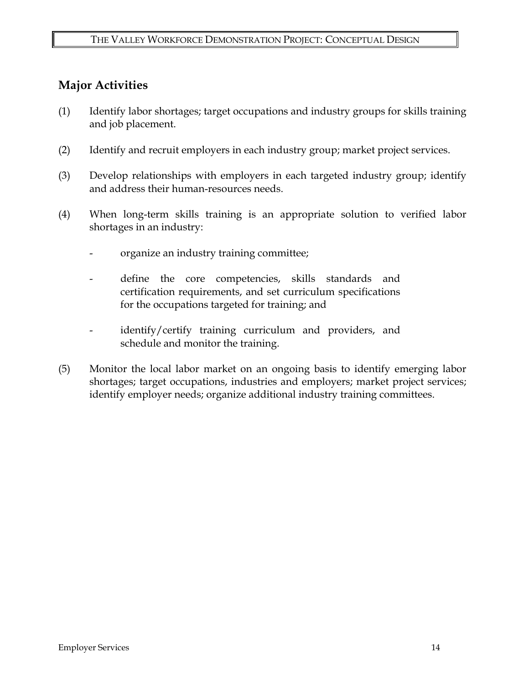## **Major Activities**

- (1) Identify labor shortages; target occupations and industry groups for skills training and job placement.
- (2) Identify and recruit employers in each industry group; market project services.
- (3) Develop relationships with employers in each targeted industry group; identify and address their human-resources needs.
- (4) When long-term skills training is an appropriate solution to verified labor shortages in an industry:
	- organize an industry training committee;
	- define the core competencies, skills standards and certification requirements, and set curriculum specifications for the occupations targeted for training; and
	- identify/certify training curriculum and providers, and schedule and monitor the training.
- (5) Monitor the local labor market on an ongoing basis to identify emerging labor shortages; target occupations, industries and employers; market project services; identify employer needs; organize additional industry training committees.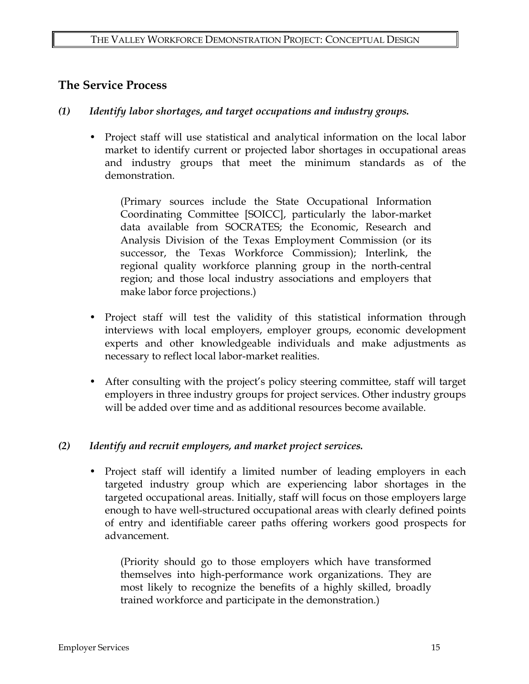### **The Service Process**

- *(1) Identify labor shortages, and target occupations and industry groups.* 
	- Project staff will use statistical and analytical information on the local labor market to identify current or projected labor shortages in occupational areas and industry groups that meet the minimum standards as of the demonstration.

(Primary sources include the State Occupational Information Coordinating Committee [SOICC], particularly the labor-market data available from SOCRATES; the Economic, Research and Analysis Division of the Texas Employment Commission (or its successor, the Texas Workforce Commission); Interlink, the regional quality workforce planning group in the north-central region; and those local industry associations and employers that make labor force projections.)

- Project staff will test the validity of this statistical information through interviews with local employers, employer groups, economic development experts and other knowledgeable individuals and make adjustments as necessary to reflect local labor-market realities.
- After consulting with the project's policy steering committee, staff will target employers in three industry groups for project services. Other industry groups will be added over time and as additional resources become available.

#### *(2) Identify and recruit employers, and market project services.*

• Project staff will identify a limited number of leading employers in each targeted industry group which are experiencing labor shortages in the targeted occupational areas. Initially, staff will focus on those employers large enough to have well-structured occupational areas with clearly defined points of entry and identifiable career paths offering workers good prospects for advancement.

(Priority should go to those employers which have transformed themselves into high-performance work organizations. They are most likely to recognize the benefits of a highly skilled, broadly trained workforce and participate in the demonstration.)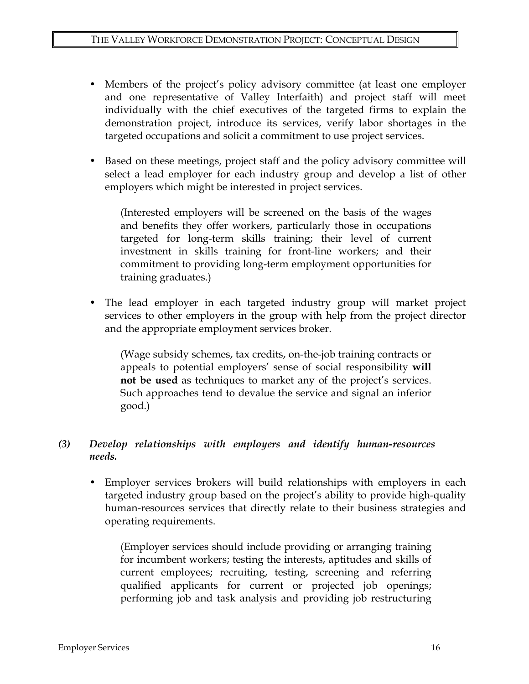- Members of the project's policy advisory committee (at least one employer and one representative of Valley Interfaith) and project staff will meet individually with the chief executives of the targeted firms to explain the demonstration project, introduce its services, verify labor shortages in the targeted occupations and solicit a commitment to use project services.
- Based on these meetings, project staff and the policy advisory committee will select a lead employer for each industry group and develop a list of other employers which might be interested in project services.

(Interested employers will be screened on the basis of the wages and benefits they offer workers, particularly those in occupations targeted for long-term skills training; their level of current investment in skills training for front-line workers; and their commitment to providing long-term employment opportunities for training graduates.)

• The lead employer in each targeted industry group will market project services to other employers in the group with help from the project director and the appropriate employment services broker.

(Wage subsidy schemes, tax credits, on-the-job training contracts or appeals to potential employers' sense of social responsibility **will not be used** as techniques to market any of the project's services. Such approaches tend to devalue the service and signal an inferior good.)

### *(3) Develop relationships with employers and identify human-resources needs.*

• Employer services brokers will build relationships with employers in each targeted industry group based on the project's ability to provide high-quality human-resources services that directly relate to their business strategies and operating requirements.

(Employer services should include providing or arranging training for incumbent workers; testing the interests, aptitudes and skills of current employees; recruiting, testing, screening and referring qualified applicants for current or projected job openings; performing job and task analysis and providing job restructuring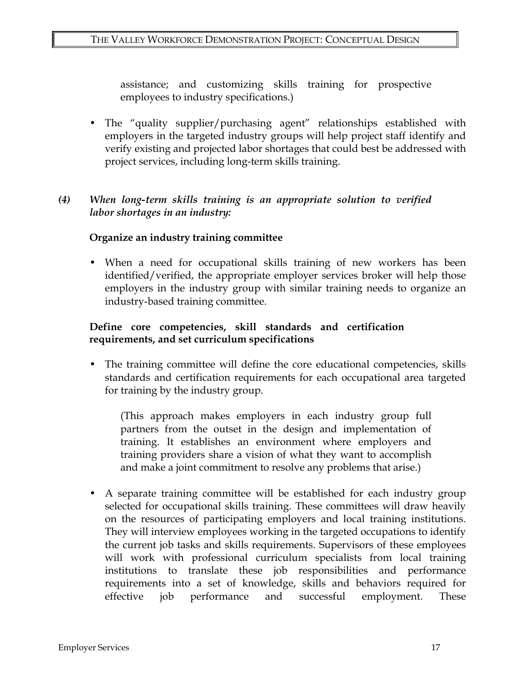assistance; and customizing skills training for prospective employees to industry specifications.)

• The "quality supplier/purchasing agent" relationships established with employers in the targeted industry groups will help project staff identify and verify existing and projected labor shortages that could best be addressed with project services, including long-term skills training.

#### *(4) When long-term skills training is an appropriate solution to verified labor shortages in an industry:*

#### **Organize an industry training committee**

• When a need for occupational skills training of new workers has been identified/verified, the appropriate employer services broker will help those employers in the industry group with similar training needs to organize an industry-based training committee.

#### **Define core competencies, skill standards and certification requirements, and set curriculum specifications**

• The training committee will define the core educational competencies, skills standards and certification requirements for each occupational area targeted for training by the industry group.

(This approach makes employers in each industry group full partners from the outset in the design and implementation of training. It establishes an environment where employers and training providers share a vision of what they want to accomplish and make a joint commitment to resolve any problems that arise.)

• A separate training committee will be established for each industry group selected for occupational skills training. These committees will draw heavily on the resources of participating employers and local training institutions. They will interview employees working in the targeted occupations to identify the current job tasks and skills requirements. Supervisors of these employees will work with professional curriculum specialists from local training institutions to translate these job responsibilities and performance requirements into a set of knowledge, skills and behaviors required for effective job performance and successful employment. These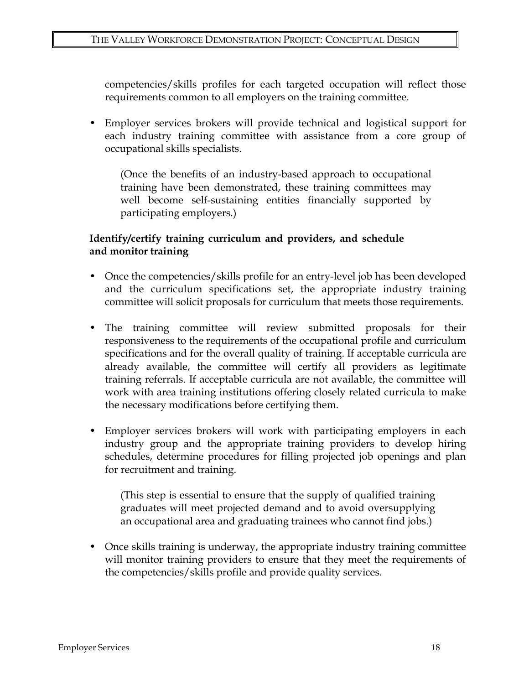competencies/skills profiles for each targeted occupation will reflect those requirements common to all employers on the training committee.

• Employer services brokers will provide technical and logistical support for each industry training committee with assistance from a core group of occupational skills specialists.

(Once the benefits of an industry-based approach to occupational training have been demonstrated, these training committees may well become self-sustaining entities financially supported by participating employers.)

#### **Identify/certify training curriculum and providers, and schedule and monitor training**

- Once the competencies/skills profile for an entry-level job has been developed and the curriculum specifications set, the appropriate industry training committee will solicit proposals for curriculum that meets those requirements.
- The training committee will review submitted proposals for their responsiveness to the requirements of the occupational profile and curriculum specifications and for the overall quality of training. If acceptable curricula are already available, the committee will certify all providers as legitimate training referrals. If acceptable curricula are not available, the committee will work with area training institutions offering closely related curricula to make the necessary modifications before certifying them.
- Employer services brokers will work with participating employers in each industry group and the appropriate training providers to develop hiring schedules, determine procedures for filling projected job openings and plan for recruitment and training.

(This step is essential to ensure that the supply of qualified training graduates will meet projected demand and to avoid oversupplying an occupational area and graduating trainees who cannot find jobs.)

• Once skills training is underway, the appropriate industry training committee will monitor training providers to ensure that they meet the requirements of the competencies/skills profile and provide quality services.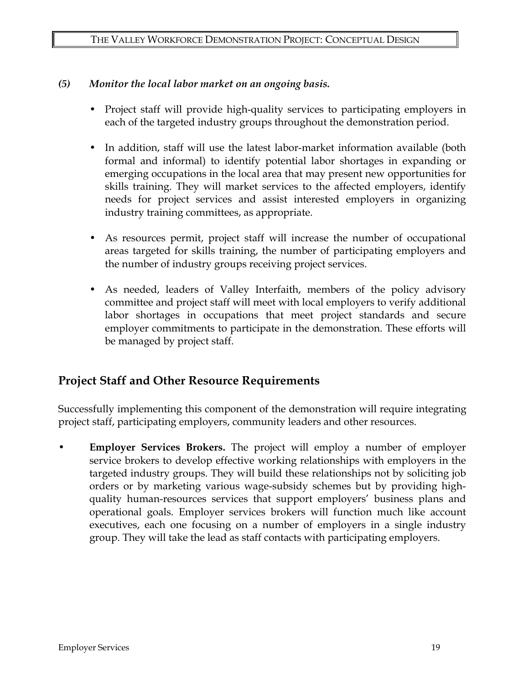#### *(5) Monitor the local labor market on an ongoing basis.*

- Project staff will provide high-quality services to participating employers in each of the targeted industry groups throughout the demonstration period.
- In addition, staff will use the latest labor-market information available (both formal and informal) to identify potential labor shortages in expanding or emerging occupations in the local area that may present new opportunities for skills training. They will market services to the affected employers, identify needs for project services and assist interested employers in organizing industry training committees, as appropriate.
- As resources permit, project staff will increase the number of occupational areas targeted for skills training, the number of participating employers and the number of industry groups receiving project services.
- As needed, leaders of Valley Interfaith, members of the policy advisory committee and project staff will meet with local employers to verify additional labor shortages in occupations that meet project standards and secure employer commitments to participate in the demonstration. These efforts will be managed by project staff.

### **Project Staff and Other Resource Requirements**

Successfully implementing this component of the demonstration will require integrating project staff, participating employers, community leaders and other resources.

• **Employer Services Brokers.** The project will employ a number of employer service brokers to develop effective working relationships with employers in the targeted industry groups. They will build these relationships not by soliciting job orders or by marketing various wage-subsidy schemes but by providing highquality human-resources services that support employers' business plans and operational goals. Employer services brokers will function much like account executives, each one focusing on a number of employers in a single industry group. They will take the lead as staff contacts with participating employers.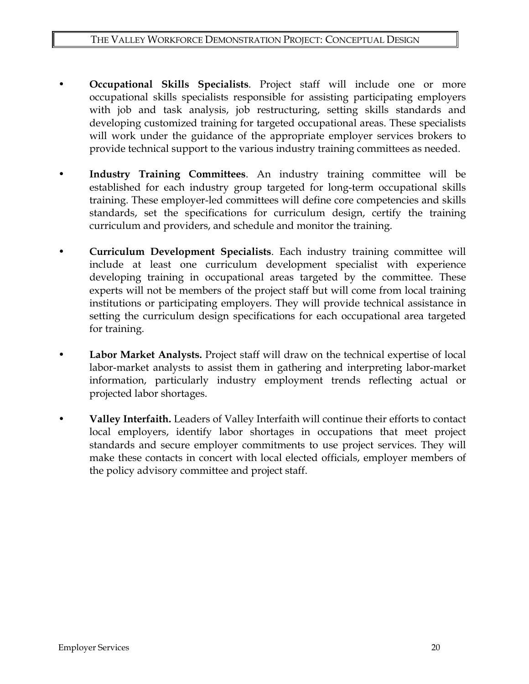- **Occupational Skills Specialists**. Project staff will include one or more occupational skills specialists responsible for assisting participating employers with job and task analysis, job restructuring, setting skills standards and developing customized training for targeted occupational areas. These specialists will work under the guidance of the appropriate employer services brokers to provide technical support to the various industry training committees as needed.
- **Industry Training Committees**. An industry training committee will be established for each industry group targeted for long-term occupational skills training. These employer-led committees will define core competencies and skills standards, set the specifications for curriculum design, certify the training curriculum and providers, and schedule and monitor the training.
- **Curriculum Development Specialists**. Each industry training committee will include at least one curriculum development specialist with experience developing training in occupational areas targeted by the committee. These experts will not be members of the project staff but will come from local training institutions or participating employers. They will provide technical assistance in setting the curriculum design specifications for each occupational area targeted for training.
- **Labor Market Analysts.** Project staff will draw on the technical expertise of local labor-market analysts to assist them in gathering and interpreting labor-market information, particularly industry employment trends reflecting actual or projected labor shortages.
- **Valley Interfaith.** Leaders of Valley Interfaith will continue their efforts to contact local employers, identify labor shortages in occupations that meet project standards and secure employer commitments to use project services. They will make these contacts in concert with local elected officials, employer members of the policy advisory committee and project staff.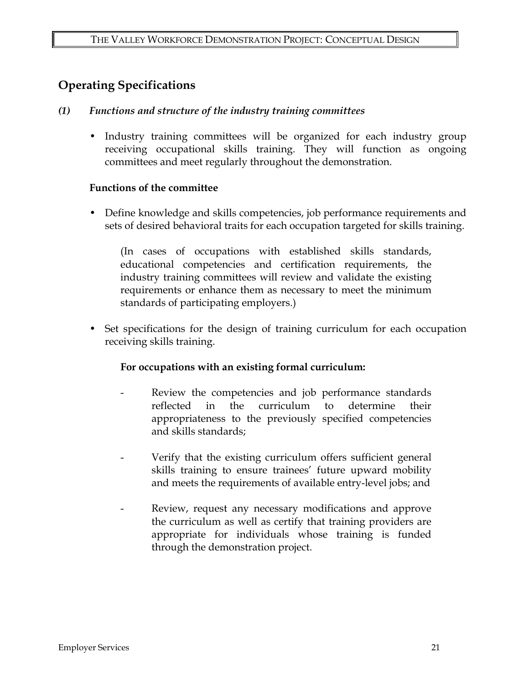# **Operating Specifications**

#### *(1) Functions and structure of the industry training committees*

• Industry training committees will be organized for each industry group receiving occupational skills training. They will function as ongoing committees and meet regularly throughout the demonstration.

#### **Functions of the committee**

• Define knowledge and skills competencies, job performance requirements and sets of desired behavioral traits for each occupation targeted for skills training.

(In cases of occupations with established skills standards, educational competencies and certification requirements, the industry training committees will review and validate the existing requirements or enhance them as necessary to meet the minimum standards of participating employers.)

• Set specifications for the design of training curriculum for each occupation receiving skills training.

### **For occupations with an existing formal curriculum:**

- Review the competencies and job performance standards reflected in the curriculum to determine their appropriateness to the previously specified competencies and skills standards;
- Verify that the existing curriculum offers sufficient general skills training to ensure trainees' future upward mobility and meets the requirements of available entry-level jobs; and
- Review, request any necessary modifications and approve the curriculum as well as certify that training providers are appropriate for individuals whose training is funded through the demonstration project.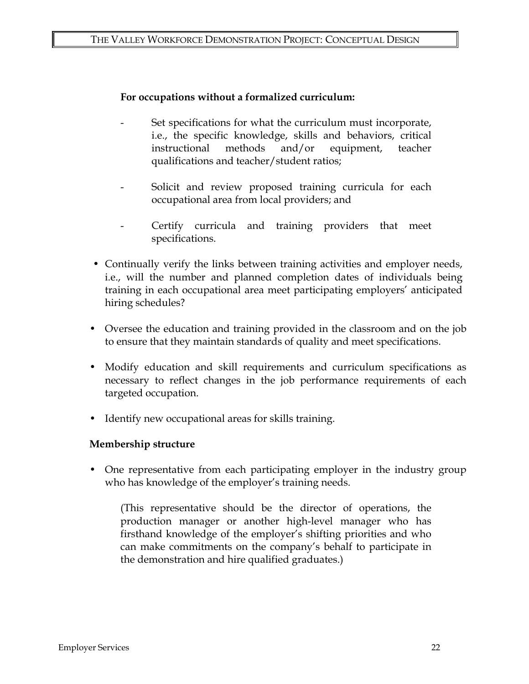#### **For occupations without a formalized curriculum:**

- Set specifications for what the curriculum must incorporate, i.e., the specific knowledge, skills and behaviors, critical instructional methods and/or equipment, teacher qualifications and teacher/student ratios;
- Solicit and review proposed training curricula for each occupational area from local providers; and
- Certify curricula and training providers that meet specifications.
- Continually verify the links between training activities and employer needs, i.e., will the number and planned completion dates of individuals being training in each occupational area meet participating employers' anticipated hiring schedules?
- Oversee the education and training provided in the classroom and on the job to ensure that they maintain standards of quality and meet specifications.
- Modify education and skill requirements and curriculum specifications as necessary to reflect changes in the job performance requirements of each targeted occupation.
- Identify new occupational areas for skills training.

#### **Membership structure**

• One representative from each participating employer in the industry group who has knowledge of the employer's training needs.

(This representative should be the director of operations, the production manager or another high-level manager who has firsthand knowledge of the employer's shifting priorities and who can make commitments on the company's behalf to participate in the demonstration and hire qualified graduates.)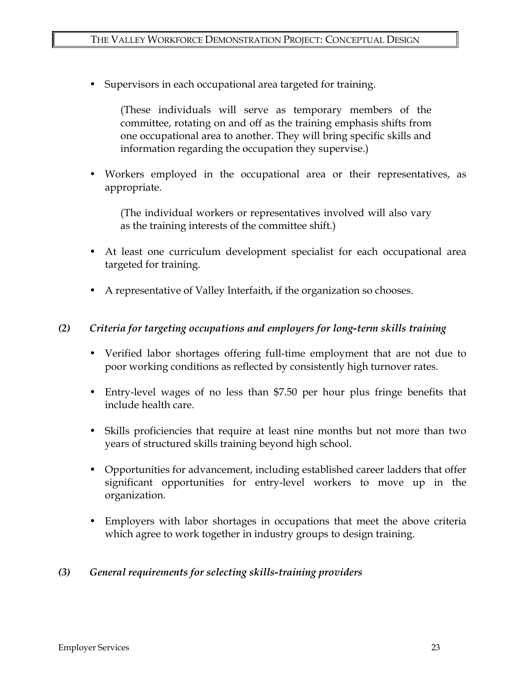• Supervisors in each occupational area targeted for training.

(These individuals will serve as temporary members of the committee, rotating on and off as the training emphasis shifts from one occupational area to another. They will bring specific skills and information regarding the occupation they supervise.)

• Workers employed in the occupational area or their representatives, as appropriate.

(The individual workers or representatives involved will also vary as the training interests of the committee shift.)

- At least one curriculum development specialist for each occupational area targeted for training.
- A representative of Valley Interfaith, if the organization so chooses.

#### *(2) Criteria for targeting occupations and employers for long-term skills training*

- Verified labor shortages offering full-time employment that are not due to poor working conditions as reflected by consistently high turnover rates.
- Entry-level wages of no less than \$7.50 per hour plus fringe benefits that include health care.
- Skills proficiencies that require at least nine months but not more than two years of structured skills training beyond high school.
- Opportunities for advancement, including established career ladders that offer significant opportunities for entry-level workers to move up in the organization.
- Employers with labor shortages in occupations that meet the above criteria which agree to work together in industry groups to design training.

#### *(3) General requirements for selecting skills-training providers*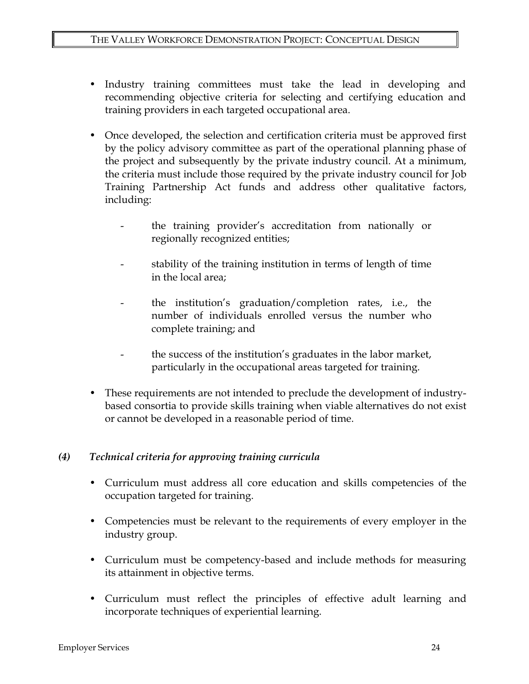- Industry training committees must take the lead in developing and recommending objective criteria for selecting and certifying education and training providers in each targeted occupational area.
- Once developed, the selection and certification criteria must be approved first by the policy advisory committee as part of the operational planning phase of the project and subsequently by the private industry council. At a minimum, the criteria must include those required by the private industry council for Job Training Partnership Act funds and address other qualitative factors, including:
	- the training provider's accreditation from nationally or regionally recognized entities;
	- stability of the training institution in terms of length of time in the local area;
	- the institution's graduation/completion rates, i.e., the number of individuals enrolled versus the number who complete training; and
	- the success of the institution's graduates in the labor market, particularly in the occupational areas targeted for training.
- These requirements are not intended to preclude the development of industrybased consortia to provide skills training when viable alternatives do not exist or cannot be developed in a reasonable period of time.

### *(4) Technical criteria for approving training curricula*

- Curriculum must address all core education and skills competencies of the occupation targeted for training.
- Competencies must be relevant to the requirements of every employer in the industry group.
- Curriculum must be competency-based and include methods for measuring its attainment in objective terms.
- Curriculum must reflect the principles of effective adult learning and incorporate techniques of experiential learning.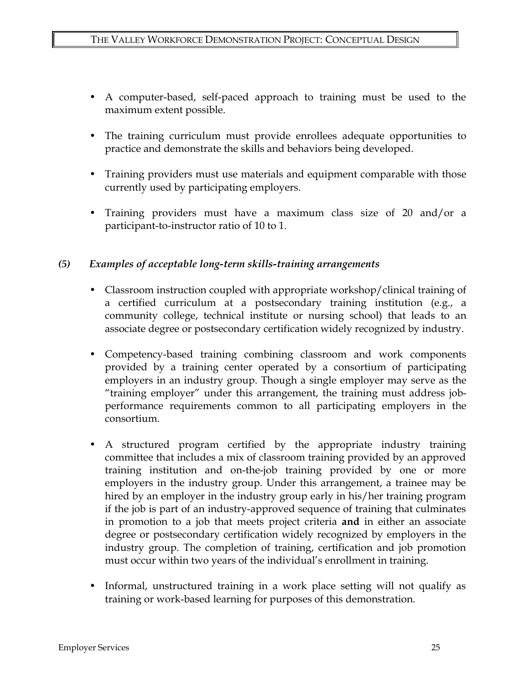- A computer-based, self-paced approach to training must be used to the maximum extent possible.
- The training curriculum must provide enrollees adequate opportunities to practice and demonstrate the skills and behaviors being developed.
- Training providers must use materials and equipment comparable with those currently used by participating employers.
- Training providers must have a maximum class size of 20 and/or a participant-to-instructor ratio of 10 to 1.

#### *(5) Examples of acceptable long-term skills-training arrangements*

- Classroom instruction coupled with appropriate workshop/clinical training of a certified curriculum at a postsecondary training institution (e.g., a community college, technical institute or nursing school) that leads to an associate degree or postsecondary certification widely recognized by industry.
- Competency-based training combining classroom and work components provided by a training center operated by a consortium of participating employers in an industry group. Though a single employer may serve as the "training employer" under this arrangement, the training must address jobperformance requirements common to all participating employers in the consortium.
- A structured program certified by the appropriate industry training committee that includes a mix of classroom training provided by an approved training institution and on-the-job training provided by one or more employers in the industry group. Under this arrangement, a trainee may be hired by an employer in the industry group early in his/her training program if the job is part of an industry-approved sequence of training that culminates in promotion to a job that meets project criteria **and** in either an associate degree or postsecondary certification widely recognized by employers in the industry group. The completion of training, certification and job promotion must occur within two years of the individual's enrollment in training.
- Informal, unstructured training in a work place setting will not qualify as training or work-based learning for purposes of this demonstration.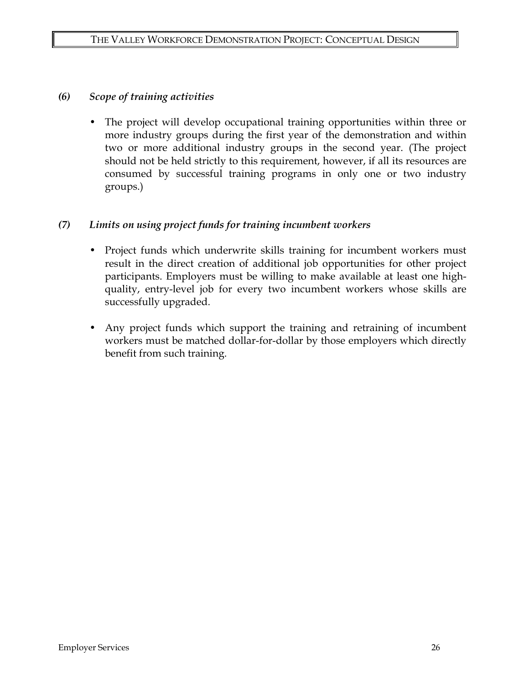#### *(6) Scope of training activities*

• The project will develop occupational training opportunities within three or more industry groups during the first year of the demonstration and within two or more additional industry groups in the second year. (The project should not be held strictly to this requirement, however, if all its resources are consumed by successful training programs in only one or two industry groups.)

#### *(7) Limits on using project funds for training incumbent workers*

- Project funds which underwrite skills training for incumbent workers must result in the direct creation of additional job opportunities for other project participants. Employers must be willing to make available at least one highquality, entry-level job for every two incumbent workers whose skills are successfully upgraded.
- Any project funds which support the training and retraining of incumbent workers must be matched dollar-for-dollar by those employers which directly benefit from such training.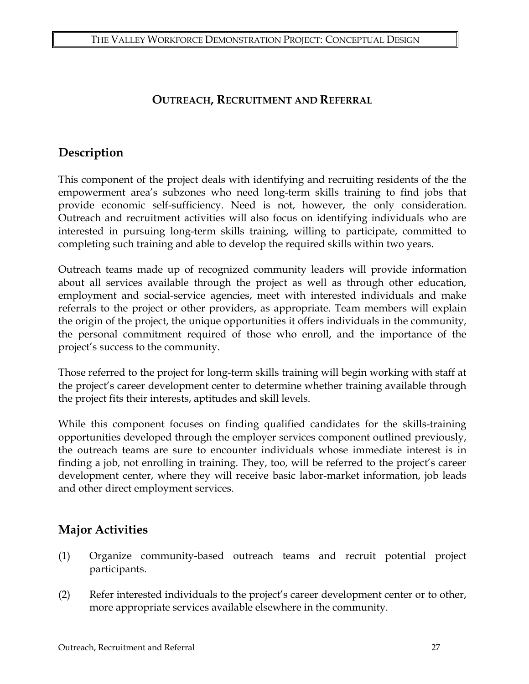### **OUTREACH, RECRUITMENT AND REFERRAL**

### **Description**

This component of the project deals with identifying and recruiting residents of the the empowerment area's subzones who need long-term skills training to find jobs that provide economic self-sufficiency. Need is not, however, the only consideration. Outreach and recruitment activities will also focus on identifying individuals who are interested in pursuing long-term skills training, willing to participate, committed to completing such training and able to develop the required skills within two years.

Outreach teams made up of recognized community leaders will provide information about all services available through the project as well as through other education, employment and social-service agencies, meet with interested individuals and make referrals to the project or other providers, as appropriate. Team members will explain the origin of the project, the unique opportunities it offers individuals in the community, the personal commitment required of those who enroll, and the importance of the project's success to the community.

Those referred to the project for long-term skills training will begin working with staff at the project's career development center to determine whether training available through the project fits their interests, aptitudes and skill levels.

While this component focuses on finding qualified candidates for the skills-training opportunities developed through the employer services component outlined previously, the outreach teams are sure to encounter individuals whose immediate interest is in finding a job, not enrolling in training. They, too, will be referred to the project's career development center, where they will receive basic labor-market information, job leads and other direct employment services.

## **Major Activities**

- (1) Organize community-based outreach teams and recruit potential project participants.
- (2) Refer interested individuals to the project's career development center or to other, more appropriate services available elsewhere in the community.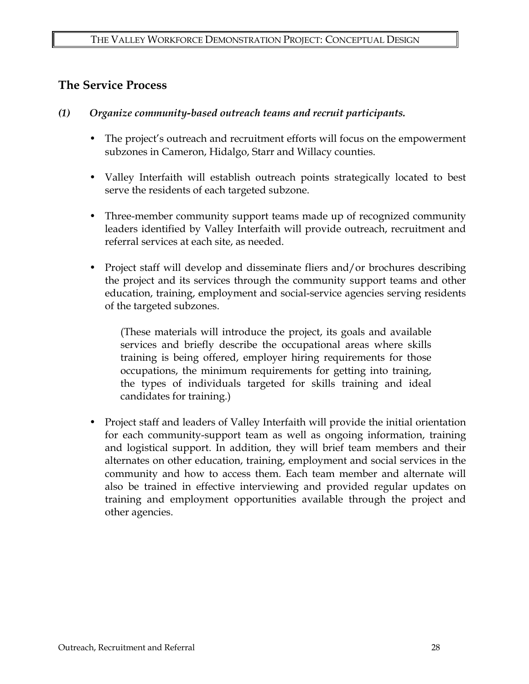### **The Service Process**

- *(1) Organize community-based outreach teams and recruit participants.* 
	- The project's outreach and recruitment efforts will focus on the empowerment subzones in Cameron, Hidalgo, Starr and Willacy counties.
	- Valley Interfaith will establish outreach points strategically located to best serve the residents of each targeted subzone.
	- Three-member community support teams made up of recognized community leaders identified by Valley Interfaith will provide outreach, recruitment and referral services at each site, as needed.
	- Project staff will develop and disseminate fliers and/or brochures describing the project and its services through the community support teams and other education, training, employment and social-service agencies serving residents of the targeted subzones.

(These materials will introduce the project, its goals and available services and briefly describe the occupational areas where skills training is being offered, employer hiring requirements for those occupations, the minimum requirements for getting into training, the types of individuals targeted for skills training and ideal candidates for training.)

• Project staff and leaders of Valley Interfaith will provide the initial orientation for each community-support team as well as ongoing information, training and logistical support. In addition, they will brief team members and their alternates on other education, training, employment and social services in the community and how to access them. Each team member and alternate will also be trained in effective interviewing and provided regular updates on training and employment opportunities available through the project and other agencies.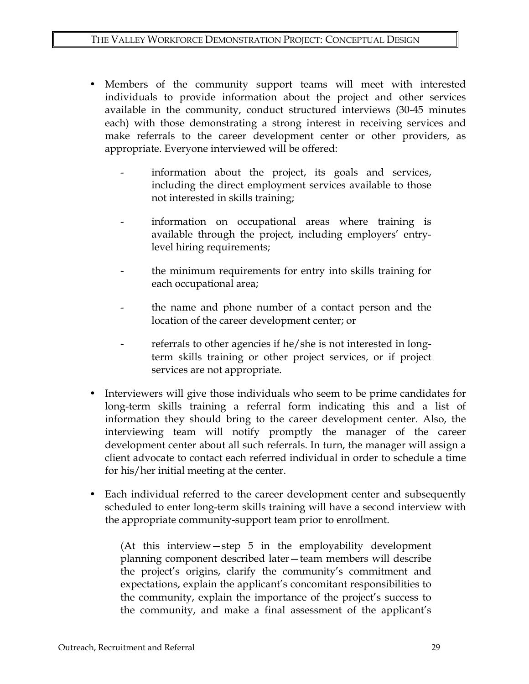- Members of the community support teams will meet with interested individuals to provide information about the project and other services available in the community, conduct structured interviews (30-45 minutes each) with those demonstrating a strong interest in receiving services and make referrals to the career development center or other providers, as appropriate. Everyone interviewed will be offered:
	- information about the project, its goals and services, including the direct employment services available to those not interested in skills training;
	- information on occupational areas where training is available through the project, including employers' entrylevel hiring requirements;
	- the minimum requirements for entry into skills training for each occupational area;
	- the name and phone number of a contact person and the location of the career development center; or
	- referrals to other agencies if he/she is not interested in longterm skills training or other project services, or if project services are not appropriate.
- Interviewers will give those individuals who seem to be prime candidates for long-term skills training a referral form indicating this and a list of information they should bring to the career development center. Also, the interviewing team will notify promptly the manager of the career development center about all such referrals. In turn, the manager will assign a client advocate to contact each referred individual in order to schedule a time for his/her initial meeting at the center.
- Each individual referred to the career development center and subsequently scheduled to enter long-term skills training will have a second interview with the appropriate community-support team prior to enrollment.

(At this interview—step 5 in the employability development planning component described later—team members will describe the project's origins, clarify the community's commitment and expectations, explain the applicant's concomitant responsibilities to the community, explain the importance of the project's success to the community, and make a final assessment of the applicant's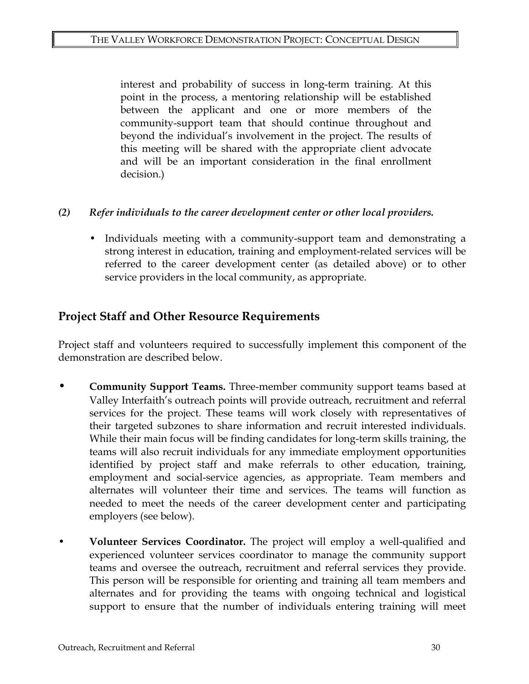interest and probability of success in long-term training. At this point in the process, a mentoring relationship will be established between the applicant and one or more members of the community-support team that should continue throughout and beyond the individual's involvement in the project. The results of this meeting will be shared with the appropriate client advocate and will be an important consideration in the final enrollment decision.)

#### *(2) Refer individuals to the career development center or other local providers.*

• Individuals meeting with a community-support team and demonstrating a strong interest in education, training and employment-related services will be referred to the career development center (as detailed above) or to other service providers in the local community, as appropriate.

### **Project Staff and Other Resource Requirements**

Project staff and volunteers required to successfully implement this component of the demonstration are described below.

- **Community Support Teams.** Three-member community support teams based at Valley Interfaith's outreach points will provide outreach, recruitment and referral services for the project. These teams will work closely with representatives of their targeted subzones to share information and recruit interested individuals. While their main focus will be finding candidates for long-term skills training, the teams will also recruit individuals for any immediate employment opportunities identified by project staff and make referrals to other education, training, employment and social-service agencies, as appropriate. Team members and alternates will volunteer their time and services. The teams will function as needed to meet the needs of the career development center and participating employers (see below).
- **Volunteer Services Coordinator.** The project will employ a well-qualified and experienced volunteer services coordinator to manage the community support teams and oversee the outreach, recruitment and referral services they provide. This person will be responsible for orienting and training all team members and alternates and for providing the teams with ongoing technical and logistical support to ensure that the number of individuals entering training will meet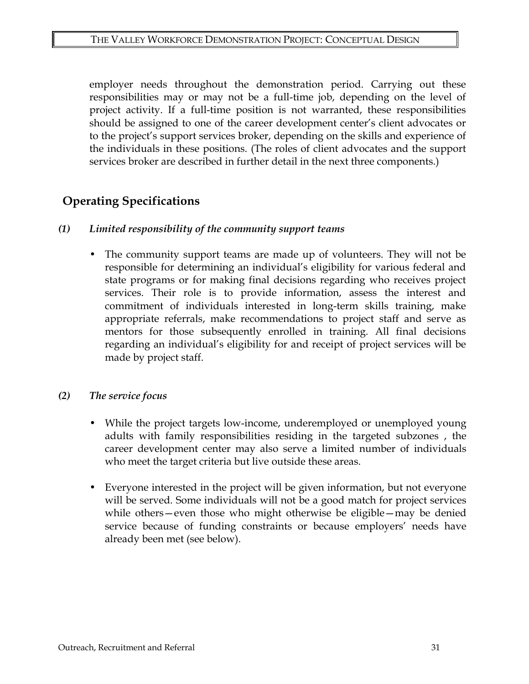employer needs throughout the demonstration period. Carrying out these responsibilities may or may not be a full-time job, depending on the level of project activity. If a full-time position is not warranted, these responsibilities should be assigned to one of the career development center's client advocates or to the project's support services broker, depending on the skills and experience of the individuals in these positions. (The roles of client advocates and the support services broker are described in further detail in the next three components.)

# **Operating Specifications**

#### *(1) Limited responsibility of the community support teams*

• The community support teams are made up of volunteers. They will not be responsible for determining an individual's eligibility for various federal and state programs or for making final decisions regarding who receives project services. Their role is to provide information, assess the interest and commitment of individuals interested in long-term skills training, make appropriate referrals, make recommendations to project staff and serve as mentors for those subsequently enrolled in training. All final decisions regarding an individual's eligibility for and receipt of project services will be made by project staff.

#### *(2) The service focus*

- While the project targets low-income, underemployed or unemployed young adults with family responsibilities residing in the targeted subzones , the career development center may also serve a limited number of individuals who meet the target criteria but live outside these areas.
- Everyone interested in the project will be given information, but not everyone will be served. Some individuals will not be a good match for project services while others—even those who might otherwise be eligible—may be denied service because of funding constraints or because employers' needs have already been met (see below).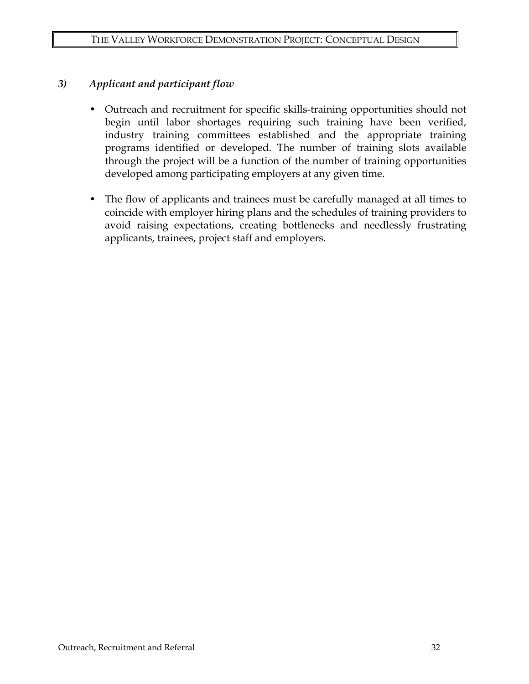#### *3) Applicant and participant flow*

- Outreach and recruitment for specific skills-training opportunities should not begin until labor shortages requiring such training have been verified, industry training committees established and the appropriate training programs identified or developed. The number of training slots available through the project will be a function of the number of training opportunities developed among participating employers at any given time.
- The flow of applicants and trainees must be carefully managed at all times to coincide with employer hiring plans and the schedules of training providers to avoid raising expectations, creating bottlenecks and needlessly frustrating applicants, trainees, project staff and employers.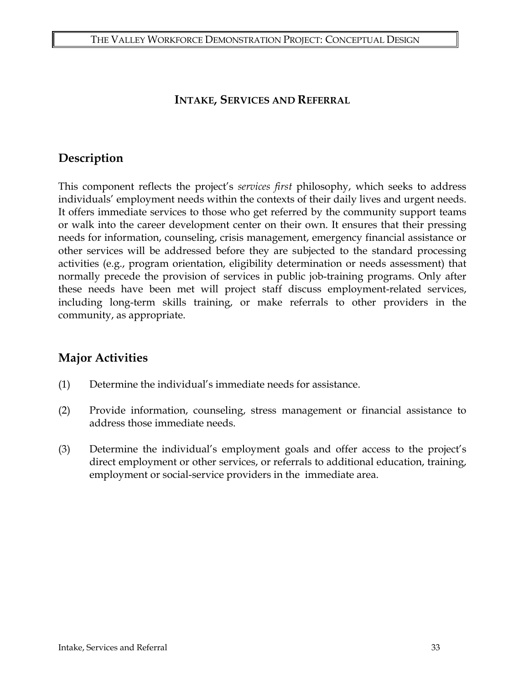#### **INTAKE, SERVICES AND REFERRAL**

## **Description**

This component reflects the project's *services first* philosophy, which seeks to address individuals' employment needs within the contexts of their daily lives and urgent needs. It offers immediate services to those who get referred by the community support teams or walk into the career development center on their own. It ensures that their pressing needs for information, counseling, crisis management, emergency financial assistance or other services will be addressed before they are subjected to the standard processing activities (e.g., program orientation, eligibility determination or needs assessment) that normally precede the provision of services in public job-training programs. Only after these needs have been met will project staff discuss employment-related services, including long-term skills training, or make referrals to other providers in the community, as appropriate.

## **Major Activities**

- (1) Determine the individual's immediate needs for assistance.
- (2) Provide information, counseling, stress management or financial assistance to address those immediate needs.
- (3) Determine the individual's employment goals and offer access to the project's direct employment or other services, or referrals to additional education, training, employment or social-service providers in the immediate area.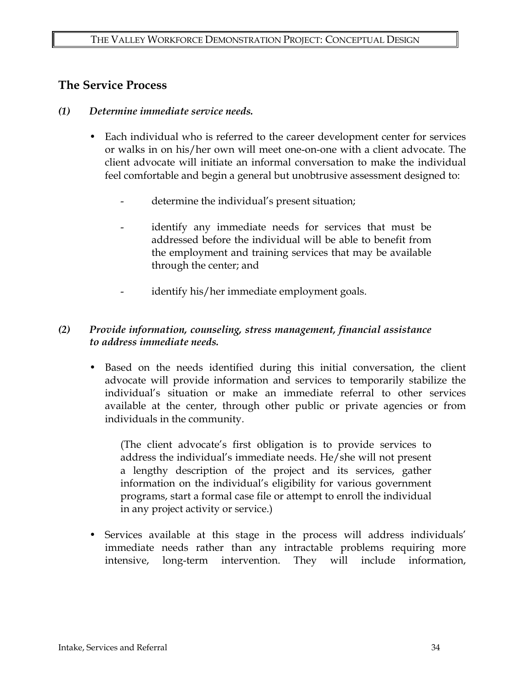### **The Service Process**

- *(1) Determine immediate service needs.* 
	- Each individual who is referred to the career development center for services or walks in on his/her own will meet one-on-one with a client advocate. The client advocate will initiate an informal conversation to make the individual feel comfortable and begin a general but unobtrusive assessment designed to:
		- determine the individual's present situation;
		- identify any immediate needs for services that must be addressed before the individual will be able to benefit from the employment and training services that may be available through the center; and
		- identify his/her immediate employment goals.

#### *(2) Provide information, counseling, stress management, financial assistance to address immediate needs.*

• Based on the needs identified during this initial conversation, the client advocate will provide information and services to temporarily stabilize the individual's situation or make an immediate referral to other services available at the center, through other public or private agencies or from individuals in the community.

(The client advocate's first obligation is to provide services to address the individual's immediate needs. He/she will not present a lengthy description of the project and its services, gather information on the individual's eligibility for various government programs, start a formal case file or attempt to enroll the individual in any project activity or service.)

• Services available at this stage in the process will address individuals' immediate needs rather than any intractable problems requiring more intensive, long-term intervention. They will include information,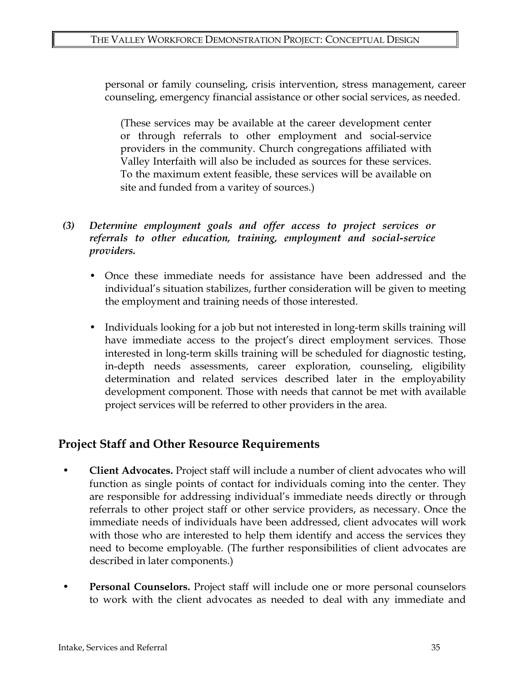personal or family counseling, crisis intervention, stress management, career counseling, emergency financial assistance or other social services, as needed.

(These services may be available at the career development center or through referrals to other employment and social-service providers in the community. Church congregations affiliated with Valley Interfaith will also be included as sources for these services. To the maximum extent feasible, these services will be available on site and funded from a varitey of sources.)

#### *(3) Determine employment goals and offer access to project services or referrals to other education, training, employment and social-service providers.*

- Once these immediate needs for assistance have been addressed and the individual's situation stabilizes, further consideration will be given to meeting the employment and training needs of those interested.
- Individuals looking for a job but not interested in long-term skills training will have immediate access to the project's direct employment services. Those interested in long-term skills training will be scheduled for diagnostic testing, in-depth needs assessments, career exploration, counseling, eligibility determination and related services described later in the employability development component. Those with needs that cannot be met with available project services will be referred to other providers in the area.

## **Project Staff and Other Resource Requirements**

- **Client Advocates.** Project staff will include a number of client advocates who will function as single points of contact for individuals coming into the center. They are responsible for addressing individual's immediate needs directly or through referrals to other project staff or other service providers, as necessary. Once the immediate needs of individuals have been addressed, client advocates will work with those who are interested to help them identify and access the services they need to become employable. (The further responsibilities of client advocates are described in later components.)
- **Personal Counselors.** Project staff will include one or more personal counselors to work with the client advocates as needed to deal with any immediate and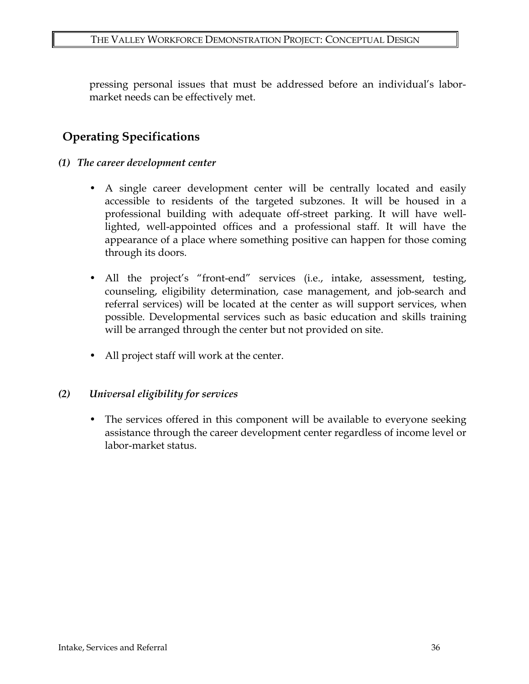pressing personal issues that must be addressed before an individual's labormarket needs can be effectively met.

# **Operating Specifications**

- *(1) The career development center* 
	- A single career development center will be centrally located and easily accessible to residents of the targeted subzones. It will be housed in a professional building with adequate off-street parking. It will have welllighted, well-appointed offices and a professional staff. It will have the appearance of a place where something positive can happen for those coming through its doors.
	- All the project's "front-end" services (i.e., intake, assessment, testing, counseling, eligibility determination, case management, and job-search and referral services) will be located at the center as will support services, when possible. Developmental services such as basic education and skills training will be arranged through the center but not provided on site.
	- All project staff will work at the center.

#### *(2) Universal eligibility for services*

• The services offered in this component will be available to everyone seeking assistance through the career development center regardless of income level or labor-market status.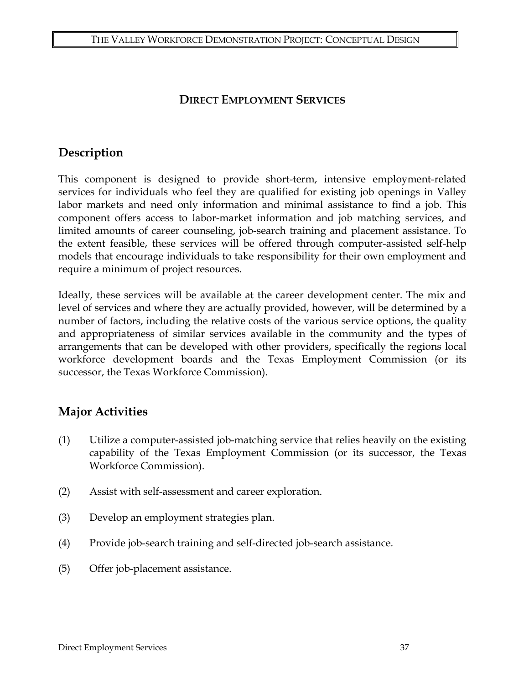### **DIRECT EMPLOYMENT SERVICES**

## **Description**

This component is designed to provide short-term, intensive employment-related services for individuals who feel they are qualified for existing job openings in Valley labor markets and need only information and minimal assistance to find a job. This component offers access to labor-market information and job matching services, and limited amounts of career counseling, job-search training and placement assistance. To the extent feasible, these services will be offered through computer-assisted self-help models that encourage individuals to take responsibility for their own employment and require a minimum of project resources.

Ideally, these services will be available at the career development center. The mix and level of services and where they are actually provided, however, will be determined by a number of factors, including the relative costs of the various service options, the quality and appropriateness of similar services available in the community and the types of arrangements that can be developed with other providers, specifically the regions local workforce development boards and the Texas Employment Commission (or its successor, the Texas Workforce Commission).

## **Major Activities**

- (1) Utilize a computer-assisted job-matching service that relies heavily on the existing capability of the Texas Employment Commission (or its successor, the Texas Workforce Commission).
- (2) Assist with self-assessment and career exploration.
- (3) Develop an employment strategies plan.
- (4) Provide job-search training and self-directed job-search assistance.
- (5) Offer job-placement assistance.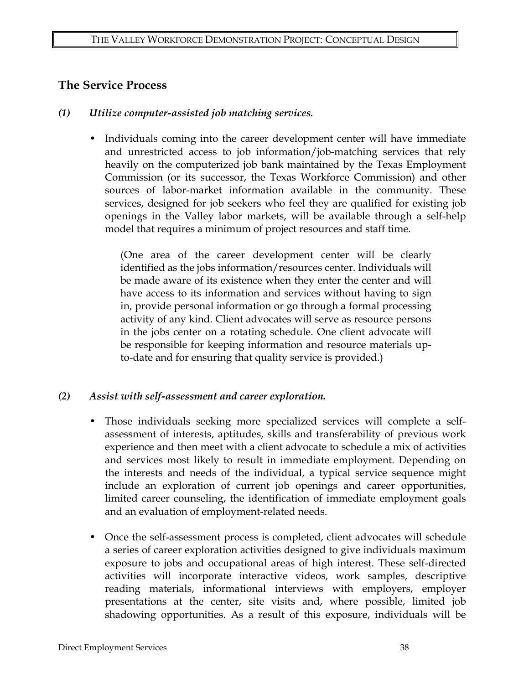### **The Service Process**

#### *(1) Utilize computer-assisted job matching services.*

• Individuals coming into the career development center will have immediate and unrestricted access to job information/job-matching services that rely heavily on the computerized job bank maintained by the Texas Employment Commission (or its successor, the Texas Workforce Commission) and other sources of labor-market information available in the community. These services, designed for job seekers who feel they are qualified for existing job openings in the Valley labor markets, will be available through a self-help model that requires a minimum of project resources and staff time.

(One area of the career development center will be clearly identified as the jobs information/resources center. Individuals will be made aware of its existence when they enter the center and will have access to its information and services without having to sign in, provide personal information or go through a formal processing activity of any kind. Client advocates will serve as resource persons in the jobs center on a rotating schedule. One client advocate will be responsible for keeping information and resource materials upto-date and for ensuring that quality service is provided.)

#### *(2) Assist with self-assessment and career exploration.*

- Those individuals seeking more specialized services will complete a selfassessment of interests, aptitudes, skills and transferability of previous work experience and then meet with a client advocate to schedule a mix of activities and services most likely to result in immediate employment. Depending on the interests and needs of the individual, a typical service sequence might include an exploration of current job openings and career opportunities, limited career counseling, the identification of immediate employment goals and an evaluation of employment-related needs.
- Once the self-assessment process is completed, client advocates will schedule a series of career exploration activities designed to give individuals maximum exposure to jobs and occupational areas of high interest. These self-directed activities will incorporate interactive videos, work samples, descriptive reading materials, informational interviews with employers, employer presentations at the center, site visits and, where possible, limited job shadowing opportunities. As a result of this exposure, individuals will be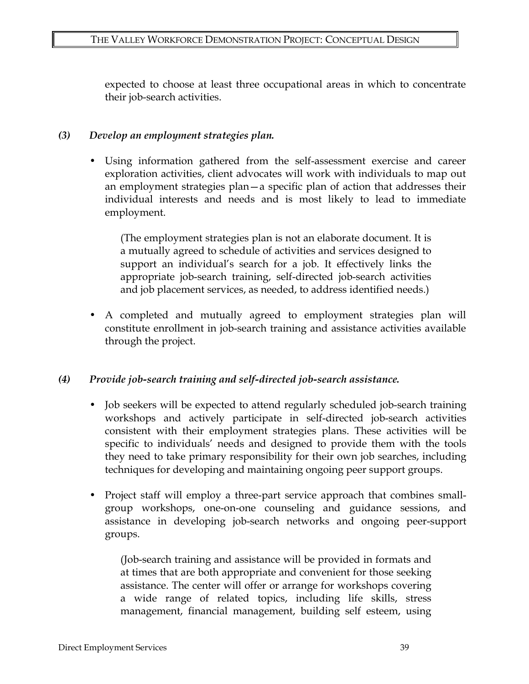expected to choose at least three occupational areas in which to concentrate their job-search activities.

### *(3) Develop an employment strategies plan.*

• Using information gathered from the self-assessment exercise and career exploration activities, client advocates will work with individuals to map out an employment strategies plan—a specific plan of action that addresses their individual interests and needs and is most likely to lead to immediate employment.

(The employment strategies plan is not an elaborate document. It is a mutually agreed to schedule of activities and services designed to support an individual's search for a job. It effectively links the appropriate job-search training, self-directed job-search activities and job placement services, as needed, to address identified needs.)

• A completed and mutually agreed to employment strategies plan will constitute enrollment in job-search training and assistance activities available through the project.

### *(4) Provide job-search training and self-directed job-search assistance.*

- Job seekers will be expected to attend regularly scheduled job-search training workshops and actively participate in self-directed job-search activities consistent with their employment strategies plans. These activities will be specific to individuals' needs and designed to provide them with the tools they need to take primary responsibility for their own job searches, including techniques for developing and maintaining ongoing peer support groups.
- Project staff will employ a three-part service approach that combines smallgroup workshops, one-on-one counseling and guidance sessions, and assistance in developing job-search networks and ongoing peer-support groups.

(Job-search training and assistance will be provided in formats and at times that are both appropriate and convenient for those seeking assistance. The center will offer or arrange for workshops covering a wide range of related topics, including life skills, stress management, financial management, building self esteem, using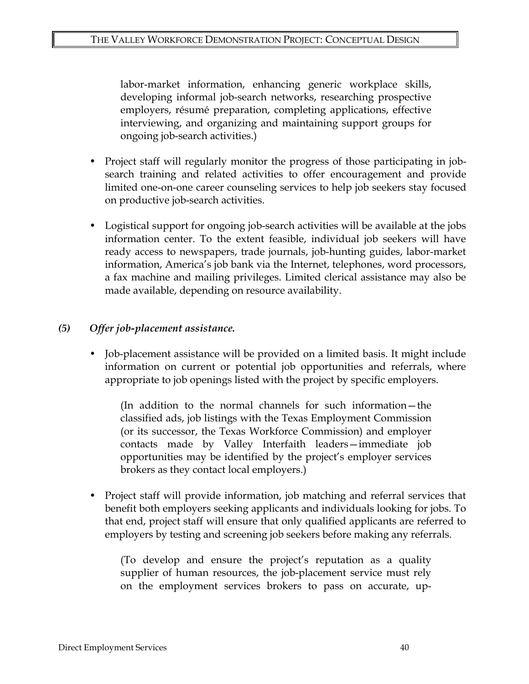labor-market information, enhancing generic workplace skills, developing informal job-search networks, researching prospective employers, résumé preparation, completing applications, effective interviewing, and organizing and maintaining support groups for ongoing job-search activities.)

- Project staff will regularly monitor the progress of those participating in jobsearch training and related activities to offer encouragement and provide limited one-on-one career counseling services to help job seekers stay focused on productive job-search activities.
- Logistical support for ongoing job-search activities will be available at the jobs information center. To the extent feasible, individual job seekers will have ready access to newspapers, trade journals, job-hunting guides, labor-market information, America's job bank via the Internet, telephones, word processors, a fax machine and mailing privileges. Limited clerical assistance may also be made available, depending on resource availability.

#### *(5) Offer job-placement assistance.*

• Job-placement assistance will be provided on a limited basis. It might include information on current or potential job opportunities and referrals, where appropriate to job openings listed with the project by specific employers.

(In addition to the normal channels for such information—the classified ads, job listings with the Texas Employment Commission (or its successor, the Texas Workforce Commission) and employer contacts made by Valley Interfaith leaders—immediate job opportunities may be identified by the project's employer services brokers as they contact local employers.)

• Project staff will provide information, job matching and referral services that benefit both employers seeking applicants and individuals looking for jobs. To that end, project staff will ensure that only qualified applicants are referred to employers by testing and screening job seekers before making any referrals.

(To develop and ensure the project's reputation as a quality supplier of human resources, the job-placement service must rely on the employment services brokers to pass on accurate, up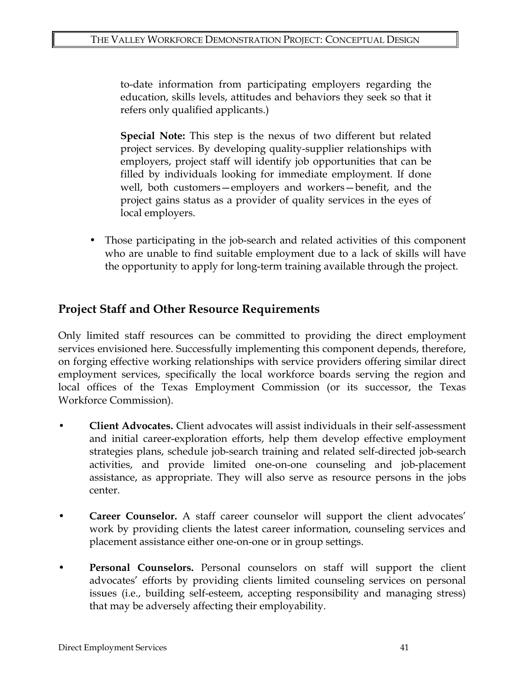to-date information from participating employers regarding the education, skills levels, attitudes and behaviors they seek so that it refers only qualified applicants.)

**Special Note:** This step is the nexus of two different but related project services. By developing quality-supplier relationships with employers, project staff will identify job opportunities that can be filled by individuals looking for immediate employment. If done well, both customers—employers and workers—benefit, and the project gains status as a provider of quality services in the eyes of local employers.

• Those participating in the job-search and related activities of this component who are unable to find suitable employment due to a lack of skills will have the opportunity to apply for long-term training available through the project.

## **Project Staff and Other Resource Requirements**

Only limited staff resources can be committed to providing the direct employment services envisioned here. Successfully implementing this component depends, therefore, on forging effective working relationships with service providers offering similar direct employment services, specifically the local workforce boards serving the region and local offices of the Texas Employment Commission (or its successor, the Texas Workforce Commission).

- **Client Advocates.** Client advocates will assist individuals in their self-assessment and initial career-exploration efforts, help them develop effective employment strategies plans, schedule job-search training and related self-directed job-search activities, and provide limited one-on-one counseling and job-placement assistance, as appropriate. They will also serve as resource persons in the jobs center.
- **Career Counselor.** A staff career counselor will support the client advocates' work by providing clients the latest career information, counseling services and placement assistance either one-on-one or in group settings.
- **Personal Counselors.** Personal counselors on staff will support the client advocates' efforts by providing clients limited counseling services on personal issues (i.e., building self-esteem, accepting responsibility and managing stress) that may be adversely affecting their employability.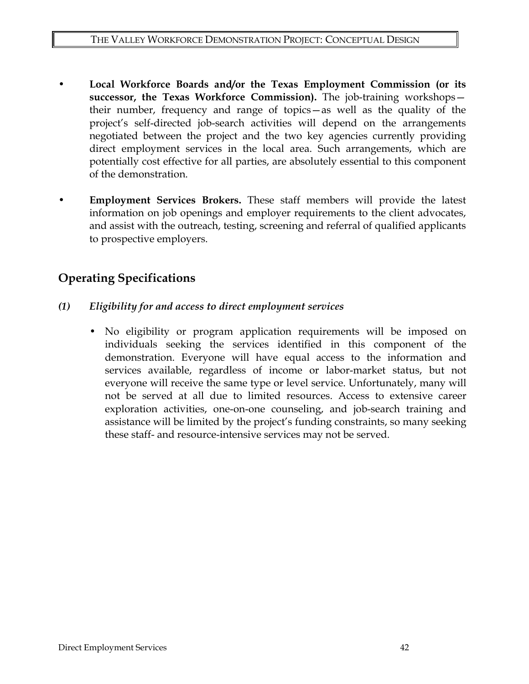- **Local Workforce Boards and/or the Texas Employment Commission (or its successor, the Texas Workforce Commission).** The job-training workshops their number, frequency and range of topics—as well as the quality of the project's self-directed job-search activities will depend on the arrangements negotiated between the project and the two key agencies currently providing direct employment services in the local area. Such arrangements, which are potentially cost effective for all parties, are absolutely essential to this component of the demonstration.
- **Employment Services Brokers.** These staff members will provide the latest information on job openings and employer requirements to the client advocates, and assist with the outreach, testing, screening and referral of qualified applicants to prospective employers.

# **Operating Specifications**

- *(1) Eligibility for and access to direct employment services*
	- No eligibility or program application requirements will be imposed on individuals seeking the services identified in this component of the demonstration. Everyone will have equal access to the information and services available, regardless of income or labor-market status, but not everyone will receive the same type or level service. Unfortunately, many will not be served at all due to limited resources. Access to extensive career exploration activities, one-on-one counseling, and job-search training and assistance will be limited by the project's funding constraints, so many seeking these staff- and resource-intensive services may not be served.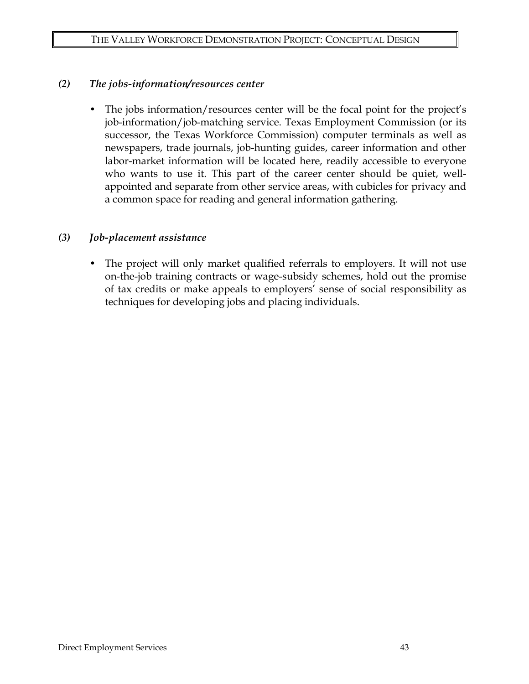#### *(2) The jobs-information/resources center*

The jobs information/resources center will be the focal point for the project's job-information/job-matching service. Texas Employment Commission (or its successor, the Texas Workforce Commission) computer terminals as well as newspapers, trade journals, job-hunting guides, career information and other labor-market information will be located here, readily accessible to everyone who wants to use it. This part of the career center should be quiet, wellappointed and separate from other service areas, with cubicles for privacy and a common space for reading and general information gathering.

#### *(3) Job-placement assistance*

The project will only market qualified referrals to employers. It will not use on-the-job training contracts or wage-subsidy schemes, hold out the promise of tax credits or make appeals to employers' sense of social responsibility as techniques for developing jobs and placing individuals.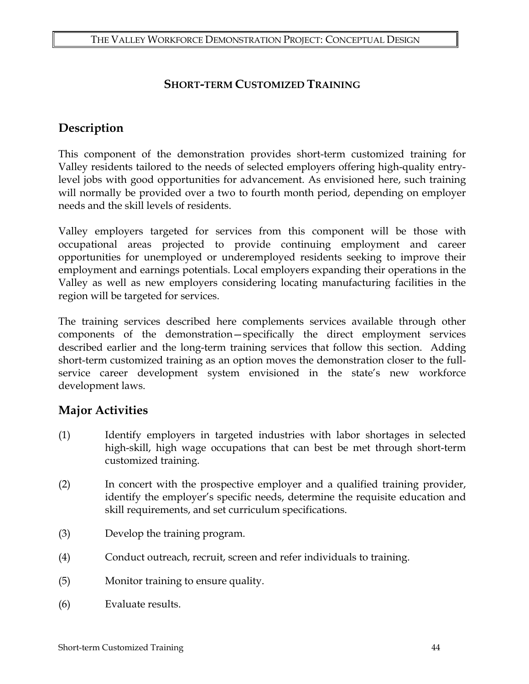## **SHORT-TERM CUSTOMIZED TRAINING**

# **Description**

This component of the demonstration provides short-term customized training for Valley residents tailored to the needs of selected employers offering high-quality entrylevel jobs with good opportunities for advancement. As envisioned here, such training will normally be provided over a two to fourth month period, depending on employer needs and the skill levels of residents.

Valley employers targeted for services from this component will be those with occupational areas projected to provide continuing employment and career opportunities for unemployed or underemployed residents seeking to improve their employment and earnings potentials. Local employers expanding their operations in the Valley as well as new employers considering locating manufacturing facilities in the region will be targeted for services.

The training services described here complements services available through other components of the demonstration—specifically the direct employment services described earlier and the long-term training services that follow this section. Adding short-term customized training as an option moves the demonstration closer to the fullservice career development system envisioned in the state's new workforce development laws.

## **Major Activities**

- (1) Identify employers in targeted industries with labor shortages in selected high-skill, high wage occupations that can best be met through short-term customized training.
- (2) In concert with the prospective employer and a qualified training provider, identify the employer's specific needs, determine the requisite education and skill requirements, and set curriculum specifications.
- (3) Develop the training program.
- (4) Conduct outreach, recruit, screen and refer individuals to training.
- (5) Monitor training to ensure quality.
- (6) Evaluate results.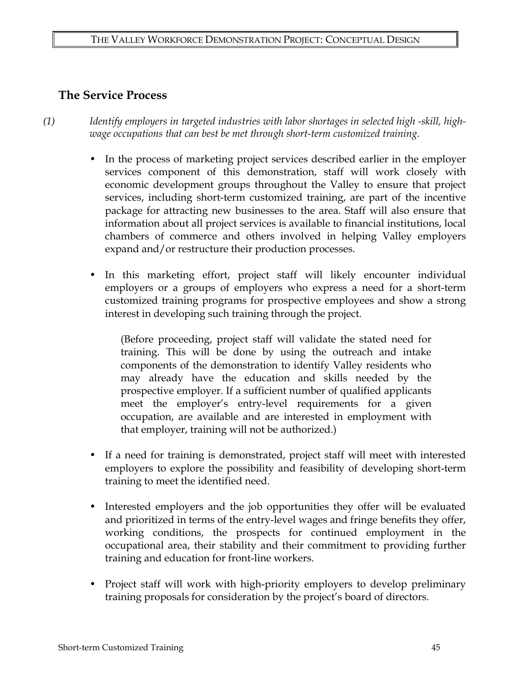### **The Service Process**

*(1) Identify employers in targeted industries with labor shortages in selected high -skill, highwage occupations that can best be met through short-term customized training.* 

- In the process of marketing project services described earlier in the employer services component of this demonstration, staff will work closely with economic development groups throughout the Valley to ensure that project services, including short-term customized training, are part of the incentive package for attracting new businesses to the area. Staff will also ensure that information about all project services is available to financial institutions, local chambers of commerce and others involved in helping Valley employers expand and/or restructure their production processes.
- In this marketing effort, project staff will likely encounter individual employers or a groups of employers who express a need for a short-term customized training programs for prospective employees and show a strong interest in developing such training through the project.

(Before proceeding, project staff will validate the stated need for training. This will be done by using the outreach and intake components of the demonstration to identify Valley residents who may already have the education and skills needed by the prospective employer. If a sufficient number of qualified applicants meet the employer's entry-level requirements for a given occupation, are available and are interested in employment with that employer, training will not be authorized.)

- If a need for training is demonstrated, project staff will meet with interested employers to explore the possibility and feasibility of developing short-term training to meet the identified need.
- Interested employers and the job opportunities they offer will be evaluated and prioritized in terms of the entry-level wages and fringe benefits they offer, working conditions, the prospects for continued employment in the occupational area, their stability and their commitment to providing further training and education for front-line workers.
- Project staff will work with high-priority employers to develop preliminary training proposals for consideration by the project's board of directors.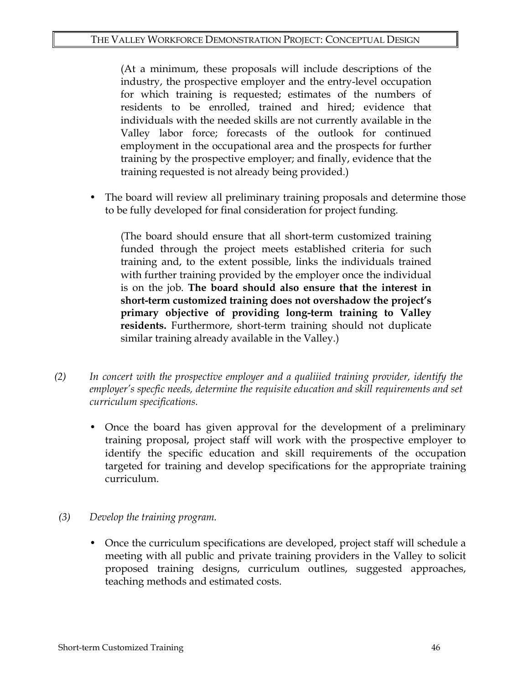(At a minimum, these proposals will include descriptions of the industry, the prospective employer and the entry-level occupation for which training is requested; estimates of the numbers of residents to be enrolled, trained and hired; evidence that individuals with the needed skills are not currently available in the Valley labor force; forecasts of the outlook for continued employment in the occupational area and the prospects for further training by the prospective employer; and finally, evidence that the training requested is not already being provided.)

• The board will review all preliminary training proposals and determine those to be fully developed for final consideration for project funding.

(The board should ensure that all short-term customized training funded through the project meets established criteria for such training and, to the extent possible, links the individuals trained with further training provided by the employer once the individual is on the job. **The board should also ensure that the interest in short-term customized training does not overshadow the project's primary objective of providing long-term training to Valley residents.** Furthermore, short-term training should not duplicate similar training already available in the Valley.)

- *(2) In concert with the prospective employer and a qualiiied training provider, identify the employer's specfic needs, determine the requisite education and skill requirements and set curriculum specifications.* 
	- Once the board has given approval for the development of a preliminary training proposal, project staff will work with the prospective employer to identify the specific education and skill requirements of the occupation targeted for training and develop specifications for the appropriate training curriculum.
- *(3) Develop the training program.*
	- Once the curriculum specifications are developed, project staff will schedule a meeting with all public and private training providers in the Valley to solicit proposed training designs, curriculum outlines, suggested approaches, teaching methods and estimated costs.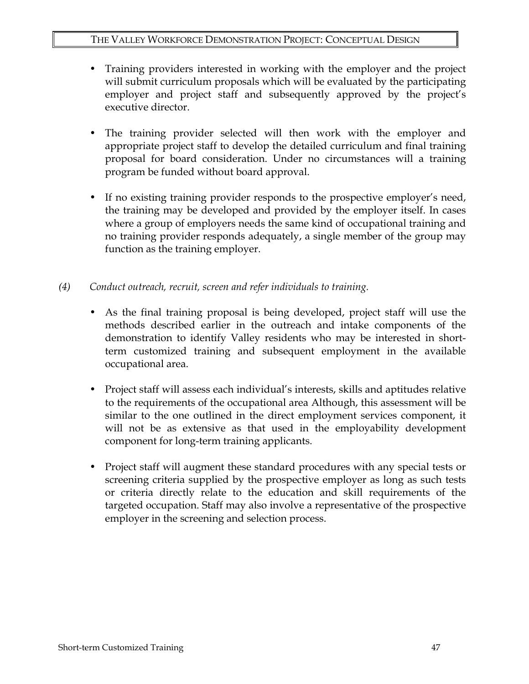- Training providers interested in working with the employer and the project will submit curriculum proposals which will be evaluated by the participating employer and project staff and subsequently approved by the project's executive director.
- The training provider selected will then work with the employer and appropriate project staff to develop the detailed curriculum and final training proposal for board consideration. Under no circumstances will a training program be funded without board approval.
- If no existing training provider responds to the prospective employer's need, the training may be developed and provided by the employer itself. In cases where a group of employers needs the same kind of occupational training and no training provider responds adequately, a single member of the group may function as the training employer.
- *(4) Conduct outreach, recruit, screen and refer individuals to training.*
	- As the final training proposal is being developed, project staff will use the methods described earlier in the outreach and intake components of the demonstration to identify Valley residents who may be interested in shortterm customized training and subsequent employment in the available occupational area.
	- Project staff will assess each individual's interests, skills and aptitudes relative to the requirements of the occupational area Although, this assessment will be similar to the one outlined in the direct employment services component, it will not be as extensive as that used in the employability development component for long-term training applicants.
	- Project staff will augment these standard procedures with any special tests or screening criteria supplied by the prospective employer as long as such tests or criteria directly relate to the education and skill requirements of the targeted occupation. Staff may also involve a representative of the prospective employer in the screening and selection process.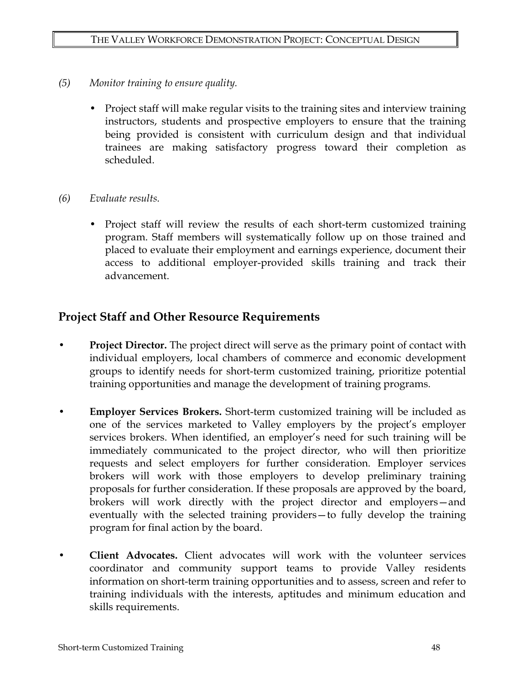- *(5) Monitor training to ensure quality.*
	- Project staff will make regular visits to the training sites and interview training instructors, students and prospective employers to ensure that the training being provided is consistent with curriculum design and that individual trainees are making satisfactory progress toward their completion as scheduled.
- *(6) Evaluate results.* 
	- Project staff will review the results of each short-term customized training program. Staff members will systematically follow up on those trained and placed to evaluate their employment and earnings experience, document their access to additional employer-provided skills training and track their advancement.

## **Project Staff and Other Resource Requirements**

- **Project Director.** The project direct will serve as the primary point of contact with individual employers, local chambers of commerce and economic development groups to identify needs for short-term customized training, prioritize potential training opportunities and manage the development of training programs.
- **Employer Services Brokers.** Short-term customized training will be included as one of the services marketed to Valley employers by the project's employer services brokers. When identified, an employer's need for such training will be immediately communicated to the project director, who will then prioritize requests and select employers for further consideration. Employer services brokers will work with those employers to develop preliminary training proposals for further consideration. If these proposals are approved by the board, brokers will work directly with the project director and employers—and eventually with the selected training providers—to fully develop the training program for final action by the board.
- **Client Advocates.** Client advocates will work with the volunteer services coordinator and community support teams to provide Valley residents information on short-term training opportunities and to assess, screen and refer to training individuals with the interests, aptitudes and minimum education and skills requirements.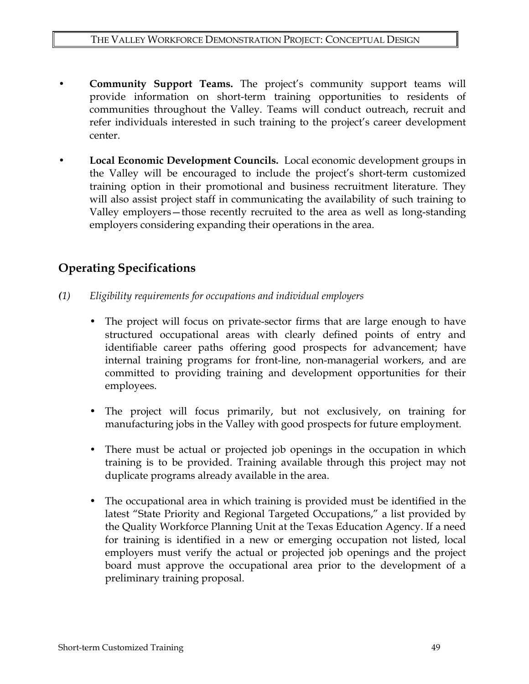- **Community Support Teams.** The project's community support teams will provide information on short-term training opportunities to residents of communities throughout the Valley. Teams will conduct outreach, recruit and refer individuals interested in such training to the project's career development center.
- **Local Economic Development Councils.** Local economic development groups in the Valley will be encouraged to include the project's short-term customized training option in their promotional and business recruitment literature. They will also assist project staff in communicating the availability of such training to Valley employers—those recently recruited to the area as well as long-standing employers considering expanding their operations in the area.

# **Operating Specifications**

- *(1) Eligibility requirements for occupations and individual employers*
	- The project will focus on private-sector firms that are large enough to have structured occupational areas with clearly defined points of entry and identifiable career paths offering good prospects for advancement; have internal training programs for front-line, non-managerial workers, and are committed to providing training and development opportunities for their employees.
	- The project will focus primarily, but not exclusively, on training for manufacturing jobs in the Valley with good prospects for future employment.
	- There must be actual or projected job openings in the occupation in which training is to be provided. Training available through this project may not duplicate programs already available in the area.
	- The occupational area in which training is provided must be identified in the latest "State Priority and Regional Targeted Occupations," a list provided by the Quality Workforce Planning Unit at the Texas Education Agency. If a need for training is identified in a new or emerging occupation not listed, local employers must verify the actual or projected job openings and the project board must approve the occupational area prior to the development of a preliminary training proposal.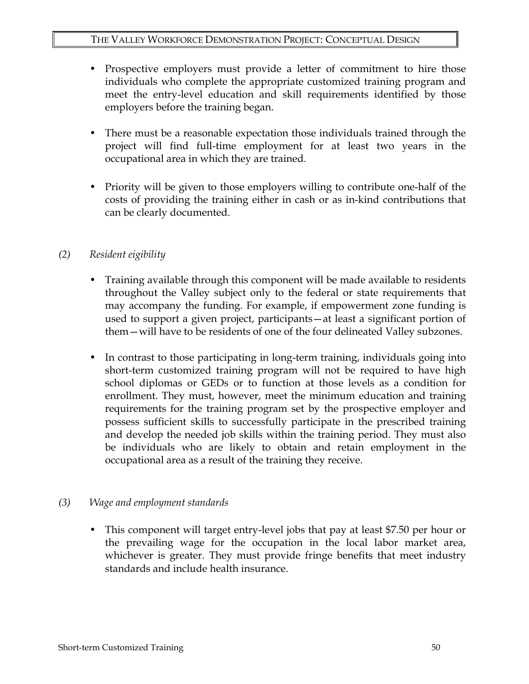- Prospective employers must provide a letter of commitment to hire those individuals who complete the appropriate customized training program and meet the entry-level education and skill requirements identified by those employers before the training began.
- There must be a reasonable expectation those individuals trained through the project will find full-time employment for at least two years in the occupational area in which they are trained.
- Priority will be given to those employers willing to contribute one-half of the costs of providing the training either in cash or as in-kind contributions that can be clearly documented.

### *(2) Resident eigibility*

- Training available through this component will be made available to residents throughout the Valley subject only to the federal or state requirements that may accompany the funding. For example, if empowerment zone funding is used to support a given project, participants—at least a significant portion of them—will have to be residents of one of the four delineated Valley subzones.
- In contrast to those participating in long-term training, individuals going into short-term customized training program will not be required to have high school diplomas or GEDs or to function at those levels as a condition for enrollment. They must, however, meet the minimum education and training requirements for the training program set by the prospective employer and possess sufficient skills to successfully participate in the prescribed training and develop the needed job skills within the training period. They must also be individuals who are likely to obtain and retain employment in the occupational area as a result of the training they receive.

### *(3) Wage and employment standards*

• This component will target entry-level jobs that pay at least \$7.50 per hour or the prevailing wage for the occupation in the local labor market area, whichever is greater. They must provide fringe benefits that meet industry standards and include health insurance.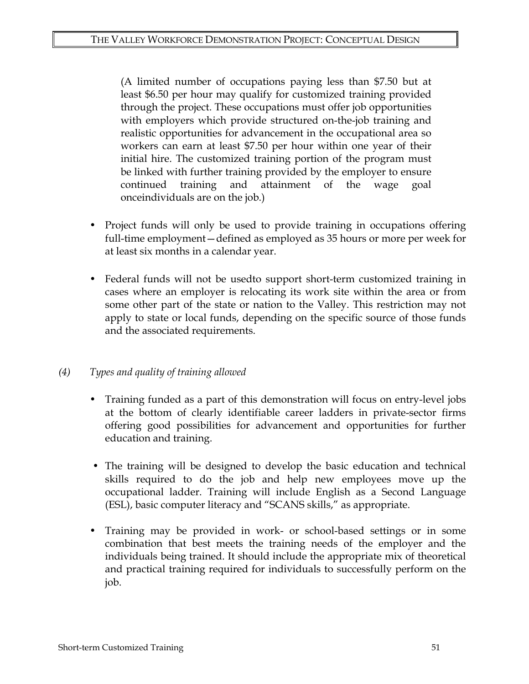(A limited number of occupations paying less than \$7.50 but at least \$6.50 per hour may qualify for customized training provided through the project. These occupations must offer job opportunities with employers which provide structured on-the-job training and realistic opportunities for advancement in the occupational area so workers can earn at least \$7.50 per hour within one year of their initial hire. The customized training portion of the program must be linked with further training provided by the employer to ensure continued training and attainment of the wage goal onceindividuals are on the job.)

- Project funds will only be used to provide training in occupations offering full-time employment—defined as employed as 35 hours or more per week for at least six months in a calendar year.
- Federal funds will not be usedto support short-term customized training in cases where an employer is relocating its work site within the area or from some other part of the state or nation to the Valley. This restriction may not apply to state or local funds, depending on the specific source of those funds and the associated requirements.

### *(4) Types and quality of training allowed*

- Training funded as a part of this demonstration will focus on entry-level jobs at the bottom of clearly identifiable career ladders in private-sector firms offering good possibilities for advancement and opportunities for further education and training.
- The training will be designed to develop the basic education and technical skills required to do the job and help new employees move up the occupational ladder. Training will include English as a Second Language (ESL), basic computer literacy and "SCANS skills," as appropriate.
- Training may be provided in work- or school-based settings or in some combination that best meets the training needs of the employer and the individuals being trained. It should include the appropriate mix of theoretical and practical training required for individuals to successfully perform on the job.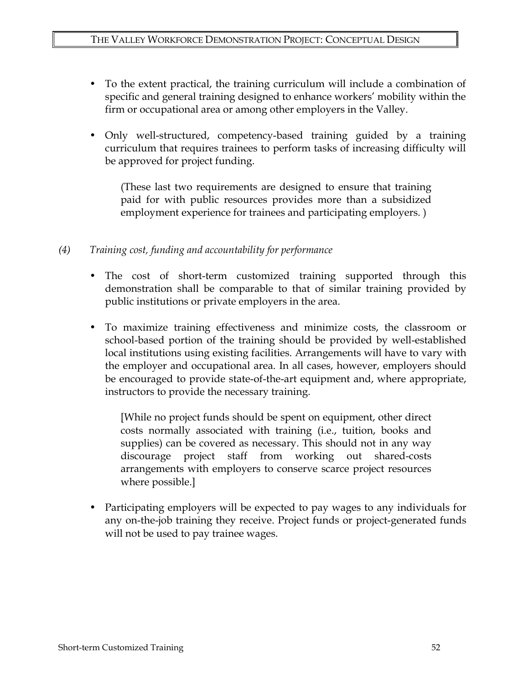- To the extent practical, the training curriculum will include a combination of specific and general training designed to enhance workers' mobility within the firm or occupational area or among other employers in the Valley.
- Only well-structured, competency-based training guided by a training curriculum that requires trainees to perform tasks of increasing difficulty will be approved for project funding.

(These last two requirements are designed to ensure that training paid for with public resources provides more than a subsidized employment experience for trainees and participating employers. )

#### *(4) Training cost, funding and accountability for performance*

- The cost of short-term customized training supported through this demonstration shall be comparable to that of similar training provided by public institutions or private employers in the area.
- To maximize training effectiveness and minimize costs, the classroom or school-based portion of the training should be provided by well-established local institutions using existing facilities. Arrangements will have to vary with the employer and occupational area. In all cases, however, employers should be encouraged to provide state-of-the-art equipment and, where appropriate, instructors to provide the necessary training.

[While no project funds should be spent on equipment, other direct costs normally associated with training (i.e., tuition, books and supplies) can be covered as necessary. This should not in any way discourage project staff from working out shared-costs arrangements with employers to conserve scarce project resources where possible.]

• Participating employers will be expected to pay wages to any individuals for any on-the-job training they receive. Project funds or project-generated funds will not be used to pay trainee wages.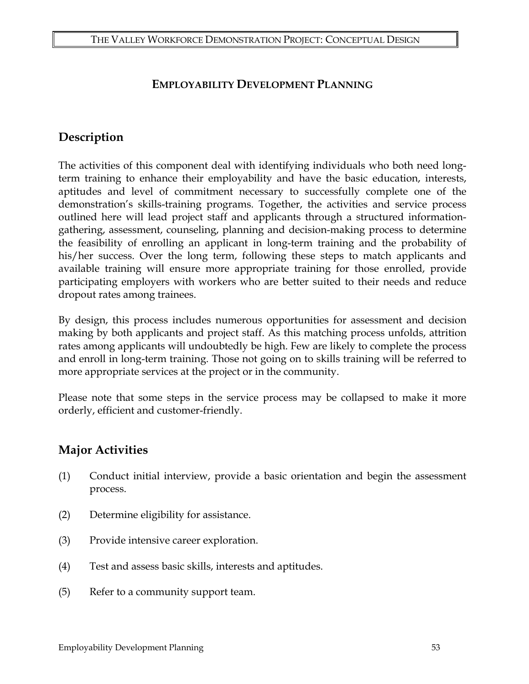### **EMPLOYABILITY DEVELOPMENT PLANNING**

## **Description**

The activities of this component deal with identifying individuals who both need longterm training to enhance their employability and have the basic education, interests, aptitudes and level of commitment necessary to successfully complete one of the demonstration's skills-training programs. Together, the activities and service process outlined here will lead project staff and applicants through a structured informationgathering, assessment, counseling, planning and decision-making process to determine the feasibility of enrolling an applicant in long-term training and the probability of his/her success. Over the long term, following these steps to match applicants and available training will ensure more appropriate training for those enrolled, provide participating employers with workers who are better suited to their needs and reduce dropout rates among trainees.

By design, this process includes numerous opportunities for assessment and decision making by both applicants and project staff. As this matching process unfolds, attrition rates among applicants will undoubtedly be high. Few are likely to complete the process and enroll in long-term training. Those not going on to skills training will be referred to more appropriate services at the project or in the community.

Please note that some steps in the service process may be collapsed to make it more orderly, efficient and customer-friendly.

## **Major Activities**

- (1) Conduct initial interview, provide a basic orientation and begin the assessment process.
- (2) Determine eligibility for assistance.
- (3) Provide intensive career exploration.
- (4) Test and assess basic skills, interests and aptitudes.
- (5) Refer to a community support team.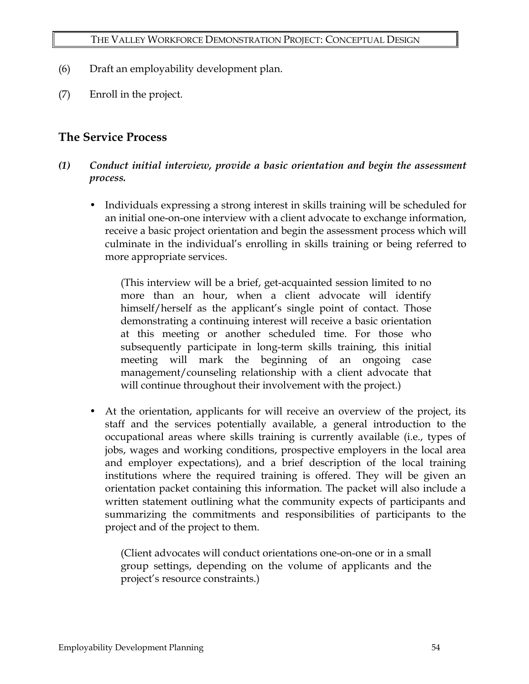- (6) Draft an employability development plan.
- (7) Enroll in the project.

# **The Service Process**

- *(1) Conduct initial interview, provide a basic orientation and begin the assessment process.* 
	- Individuals expressing a strong interest in skills training will be scheduled for an initial one-on-one interview with a client advocate to exchange information, receive a basic project orientation and begin the assessment process which will culminate in the individual's enrolling in skills training or being referred to more appropriate services.

(This interview will be a brief, get-acquainted session limited to no more than an hour, when a client advocate will identify himself/herself as the applicant's single point of contact. Those demonstrating a continuing interest will receive a basic orientation at this meeting or another scheduled time. For those who subsequently participate in long-term skills training, this initial meeting will mark the beginning of an ongoing case management/counseling relationship with a client advocate that will continue throughout their involvement with the project.)

• At the orientation, applicants for will receive an overview of the project, its staff and the services potentially available, a general introduction to the occupational areas where skills training is currently available (i.e., types of jobs, wages and working conditions, prospective employers in the local area and employer expectations), and a brief description of the local training institutions where the required training is offered. They will be given an orientation packet containing this information. The packet will also include a written statement outlining what the community expects of participants and summarizing the commitments and responsibilities of participants to the project and of the project to them.

(Client advocates will conduct orientations one-on-one or in a small group settings, depending on the volume of applicants and the project's resource constraints.)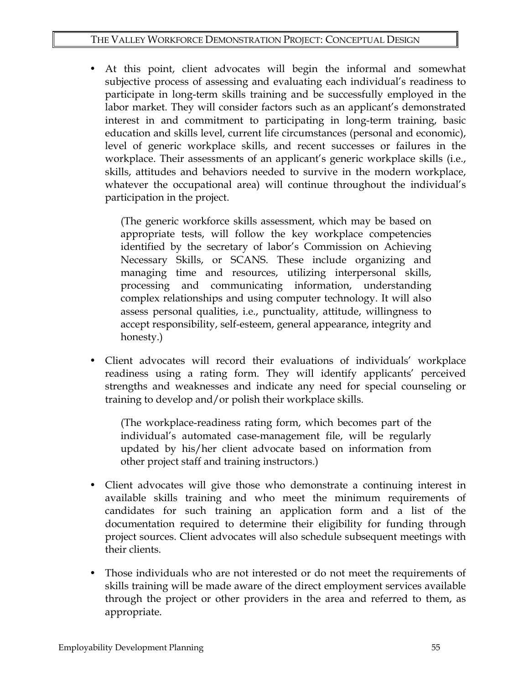• At this point, client advocates will begin the informal and somewhat subjective process of assessing and evaluating each individual's readiness to participate in long-term skills training and be successfully employed in the labor market. They will consider factors such as an applicant's demonstrated interest in and commitment to participating in long-term training, basic education and skills level, current life circumstances (personal and economic), level of generic workplace skills, and recent successes or failures in the workplace. Their assessments of an applicant's generic workplace skills (i.e., skills, attitudes and behaviors needed to survive in the modern workplace, whatever the occupational area) will continue throughout the individual's participation in the project.

(The generic workforce skills assessment, which may be based on appropriate tests, will follow the key workplace competencies identified by the secretary of labor's Commission on Achieving Necessary Skills, or SCANS. These include organizing and managing time and resources, utilizing interpersonal skills, processing and communicating information, understanding complex relationships and using computer technology. It will also assess personal qualities, i.e., punctuality, attitude, willingness to accept responsibility, self-esteem, general appearance, integrity and honesty.)

• Client advocates will record their evaluations of individuals' workplace readiness using a rating form. They will identify applicants' perceived strengths and weaknesses and indicate any need for special counseling or training to develop and/or polish their workplace skills.

(The workplace-readiness rating form, which becomes part of the individual's automated case-management file, will be regularly updated by his/her client advocate based on information from other project staff and training instructors.)

- Client advocates will give those who demonstrate a continuing interest in available skills training and who meet the minimum requirements of candidates for such training an application form and a list of the documentation required to determine their eligibility for funding through project sources. Client advocates will also schedule subsequent meetings with their clients.
- Those individuals who are not interested or do not meet the requirements of skills training will be made aware of the direct employment services available through the project or other providers in the area and referred to them, as appropriate.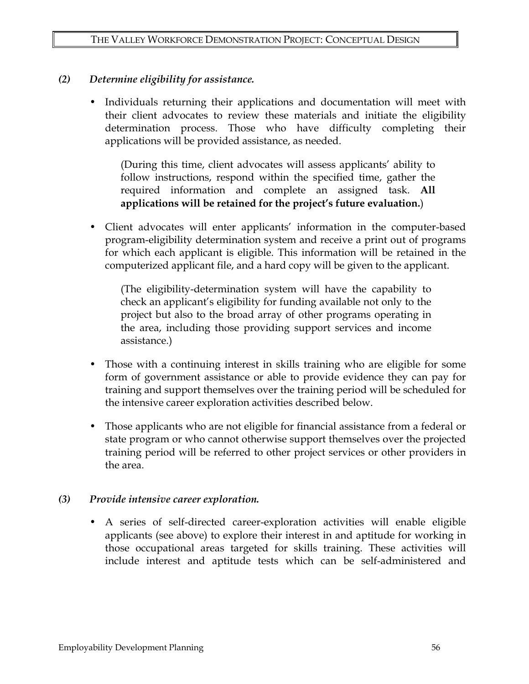#### *(2) Determine eligibility for assistance.*

• Individuals returning their applications and documentation will meet with their client advocates to review these materials and initiate the eligibility determination process. Those who have difficulty completing their applications will be provided assistance, as needed.

(During this time, client advocates will assess applicants' ability to follow instructions, respond within the specified time, gather the required information and complete an assigned task. **All applications will be retained for the project's future evaluation.**)

• Client advocates will enter applicants' information in the computer-based program-eligibility determination system and receive a print out of programs for which each applicant is eligible. This information will be retained in the computerized applicant file, and a hard copy will be given to the applicant.

(The eligibility-determination system will have the capability to check an applicant's eligibility for funding available not only to the project but also to the broad array of other programs operating in the area, including those providing support services and income assistance.)

- Those with a continuing interest in skills training who are eligible for some form of government assistance or able to provide evidence they can pay for training and support themselves over the training period will be scheduled for the intensive career exploration activities described below.
- Those applicants who are not eligible for financial assistance from a federal or state program or who cannot otherwise support themselves over the projected training period will be referred to other project services or other providers in the area.

#### *(3) Provide intensive career exploration.*

• A series of self-directed career-exploration activities will enable eligible applicants (see above) to explore their interest in and aptitude for working in those occupational areas targeted for skills training. These activities will include interest and aptitude tests which can be self-administered and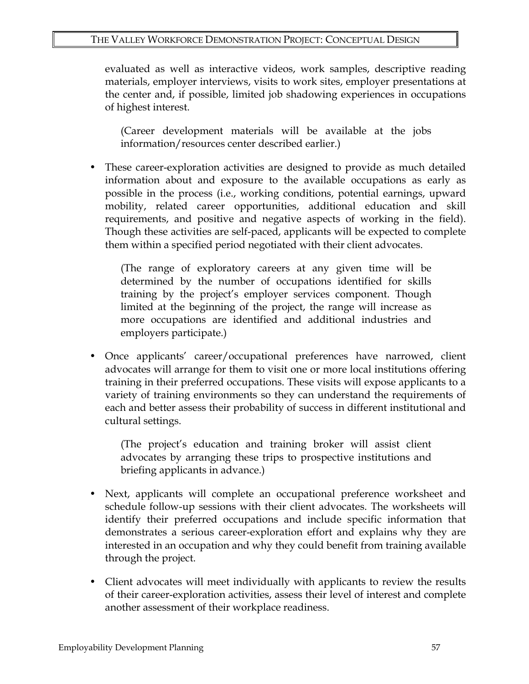evaluated as well as interactive videos, work samples, descriptive reading materials, employer interviews, visits to work sites, employer presentations at the center and, if possible, limited job shadowing experiences in occupations of highest interest.

(Career development materials will be available at the jobs information/resources center described earlier.)

• These career-exploration activities are designed to provide as much detailed information about and exposure to the available occupations as early as possible in the process (i.e., working conditions, potential earnings, upward mobility, related career opportunities, additional education and skill requirements, and positive and negative aspects of working in the field). Though these activities are self-paced, applicants will be expected to complete them within a specified period negotiated with their client advocates.

(The range of exploratory careers at any given time will be determined by the number of occupations identified for skills training by the project's employer services component. Though limited at the beginning of the project, the range will increase as more occupations are identified and additional industries and employers participate.)

• Once applicants' career/occupational preferences have narrowed, client advocates will arrange for them to visit one or more local institutions offering training in their preferred occupations. These visits will expose applicants to a variety of training environments so they can understand the requirements of each and better assess their probability of success in different institutional and cultural settings.

(The project's education and training broker will assist client advocates by arranging these trips to prospective institutions and briefing applicants in advance.)

- Next, applicants will complete an occupational preference worksheet and schedule follow-up sessions with their client advocates. The worksheets will identify their preferred occupations and include specific information that demonstrates a serious career-exploration effort and explains why they are interested in an occupation and why they could benefit from training available through the project.
- Client advocates will meet individually with applicants to review the results of their career-exploration activities, assess their level of interest and complete another assessment of their workplace readiness.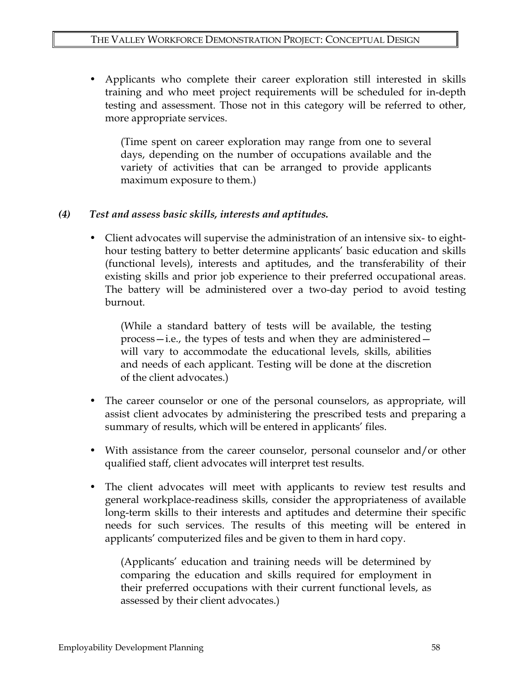• Applicants who complete their career exploration still interested in skills training and who meet project requirements will be scheduled for in-depth testing and assessment. Those not in this category will be referred to other, more appropriate services.

(Time spent on career exploration may range from one to several days, depending on the number of occupations available and the variety of activities that can be arranged to provide applicants maximum exposure to them.)

#### *(4) Test and assess basic skills, interests and aptitudes.*

• Client advocates will supervise the administration of an intensive six- to eighthour testing battery to better determine applicants' basic education and skills (functional levels), interests and aptitudes, and the transferability of their existing skills and prior job experience to their preferred occupational areas. The battery will be administered over a two-day period to avoid testing burnout.

(While a standard battery of tests will be available, the testing process—i.e., the types of tests and when they are administered will vary to accommodate the educational levels, skills, abilities and needs of each applicant. Testing will be done at the discretion of the client advocates.)

- The career counselor or one of the personal counselors, as appropriate, will assist client advocates by administering the prescribed tests and preparing a summary of results, which will be entered in applicants' files.
- With assistance from the career counselor, personal counselor and/or other qualified staff, client advocates will interpret test results.
- The client advocates will meet with applicants to review test results and general workplace-readiness skills, consider the appropriateness of available long-term skills to their interests and aptitudes and determine their specific needs for such services. The results of this meeting will be entered in applicants' computerized files and be given to them in hard copy.

(Applicants' education and training needs will be determined by comparing the education and skills required for employment in their preferred occupations with their current functional levels, as assessed by their client advocates.)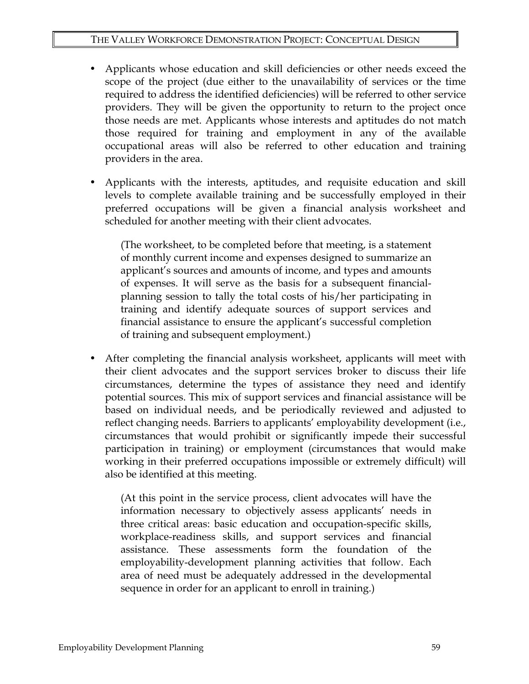- Applicants whose education and skill deficiencies or other needs exceed the scope of the project (due either to the unavailability of services or the time required to address the identified deficiencies) will be referred to other service providers. They will be given the opportunity to return to the project once those needs are met. Applicants whose interests and aptitudes do not match those required for training and employment in any of the available occupational areas will also be referred to other education and training providers in the area.
- Applicants with the interests, aptitudes, and requisite education and skill levels to complete available training and be successfully employed in their preferred occupations will be given a financial analysis worksheet and scheduled for another meeting with their client advocates.

(The worksheet, to be completed before that meeting, is a statement of monthly current income and expenses designed to summarize an applicant's sources and amounts of income, and types and amounts of expenses. It will serve as the basis for a subsequent financialplanning session to tally the total costs of his/her participating in training and identify adequate sources of support services and financial assistance to ensure the applicant's successful completion of training and subsequent employment.)

• After completing the financial analysis worksheet, applicants will meet with their client advocates and the support services broker to discuss their life circumstances, determine the types of assistance they need and identify potential sources. This mix of support services and financial assistance will be based on individual needs, and be periodically reviewed and adjusted to reflect changing needs. Barriers to applicants' employability development (i.e., circumstances that would prohibit or significantly impede their successful participation in training) or employment (circumstances that would make working in their preferred occupations impossible or extremely difficult) will also be identified at this meeting.

(At this point in the service process, client advocates will have the information necessary to objectively assess applicants' needs in three critical areas: basic education and occupation-specific skills, workplace-readiness skills, and support services and financial assistance. These assessments form the foundation of the employability-development planning activities that follow. Each area of need must be adequately addressed in the developmental sequence in order for an applicant to enroll in training.)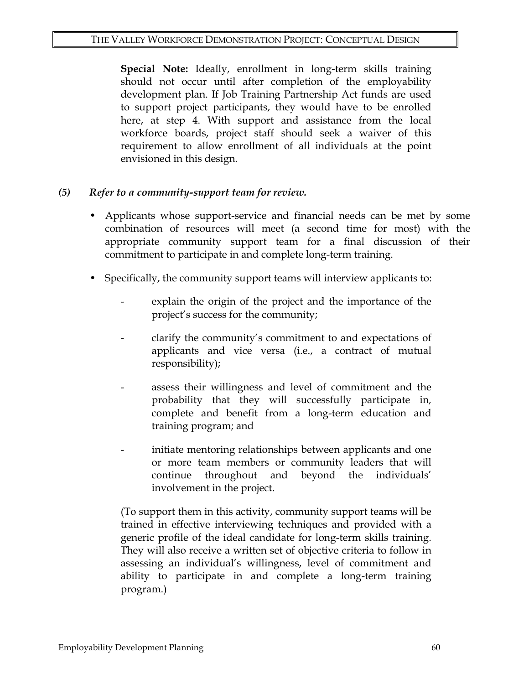**Special Note:** Ideally, enrollment in long-term skills training should not occur until after completion of the employability development plan. If Job Training Partnership Act funds are used to support project participants, they would have to be enrolled here, at step 4. With support and assistance from the local workforce boards, project staff should seek a waiver of this requirement to allow enrollment of all individuals at the point envisioned in this design.

#### *(5) Refer to a community-support team for review.*

- Applicants whose support-service and financial needs can be met by some combination of resources will meet (a second time for most) with the appropriate community support team for a final discussion of their commitment to participate in and complete long-term training.
- Specifically, the community support teams will interview applicants to:
	- explain the origin of the project and the importance of the project's success for the community;
	- clarify the community's commitment to and expectations of applicants and vice versa (i.e., a contract of mutual responsibility);
	- assess their willingness and level of commitment and the probability that they will successfully participate in, complete and benefit from a long-term education and training program; and
	- initiate mentoring relationships between applicants and one or more team members or community leaders that will continue throughout and beyond the individuals' involvement in the project.

(To support them in this activity, community support teams will be trained in effective interviewing techniques and provided with a generic profile of the ideal candidate for long-term skills training. They will also receive a written set of objective criteria to follow in assessing an individual's willingness, level of commitment and ability to participate in and complete a long-term training program.)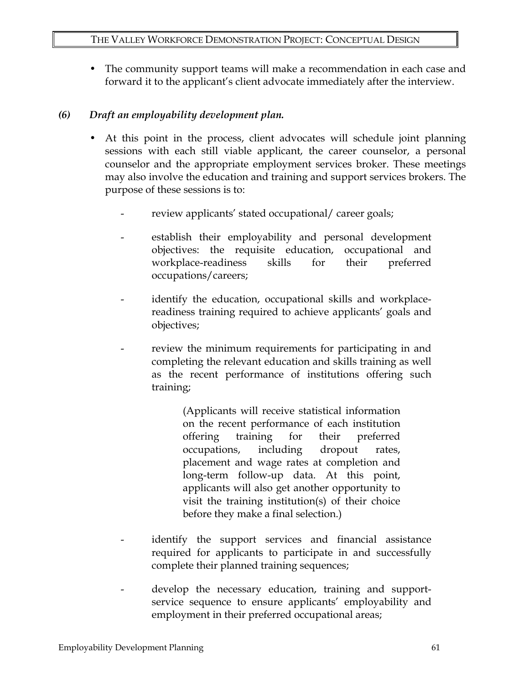The community support teams will make a recommendation in each case and forward it to the applicant's client advocate immediately after the interview.

### *(6) Draft an employability development plan.*

- At this point in the process, client advocates will schedule joint planning sessions with each still viable applicant, the career counselor, a personal counselor and the appropriate employment services broker. These meetings may also involve the education and training and support services brokers. The purpose of these sessions is to:
	- review applicants' stated occupational/ career goals;
	- establish their employability and personal development objectives: the requisite education, occupational and workplace-readiness skills for their preferred occupations/careers;
	- identify the education, occupational skills and workplacereadiness training required to achieve applicants' goals and objectives;
	- review the minimum requirements for participating in and completing the relevant education and skills training as well as the recent performance of institutions offering such training;

(Applicants will receive statistical information on the recent performance of each institution offering training for their preferred occupations, including dropout rates, placement and wage rates at completion and long-term follow-up data. At this point, applicants will also get another opportunity to visit the training institution(s) of their choice before they make a final selection.)

- identify the support services and financial assistance required for applicants to participate in and successfully complete their planned training sequences;
- develop the necessary education, training and supportservice sequence to ensure applicants' employability and employment in their preferred occupational areas;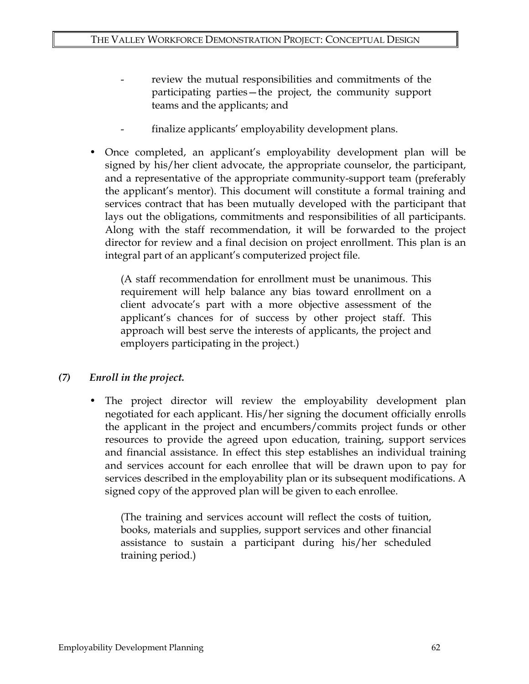- review the mutual responsibilities and commitments of the participating parties—the project, the community support teams and the applicants; and
- finalize applicants' employability development plans.
- Once completed, an applicant's employability development plan will be signed by his/her client advocate, the appropriate counselor, the participant, and a representative of the appropriate community-support team (preferably the applicant's mentor). This document will constitute a formal training and services contract that has been mutually developed with the participant that lays out the obligations, commitments and responsibilities of all participants. Along with the staff recommendation, it will be forwarded to the project director for review and a final decision on project enrollment. This plan is an integral part of an applicant's computerized project file.

(A staff recommendation for enrollment must be unanimous. This requirement will help balance any bias toward enrollment on a client advocate's part with a more objective assessment of the applicant's chances for of success by other project staff. This approach will best serve the interests of applicants, the project and employers participating in the project.)

## *(7) Enroll in the project.*

The project director will review the employability development plan negotiated for each applicant. His/her signing the document officially enrolls the applicant in the project and encumbers/commits project funds or other resources to provide the agreed upon education, training, support services and financial assistance. In effect this step establishes an individual training and services account for each enrollee that will be drawn upon to pay for services described in the employability plan or its subsequent modifications. A signed copy of the approved plan will be given to each enrollee.

(The training and services account will reflect the costs of tuition, books, materials and supplies, support services and other financial assistance to sustain a participant during his/her scheduled training period.)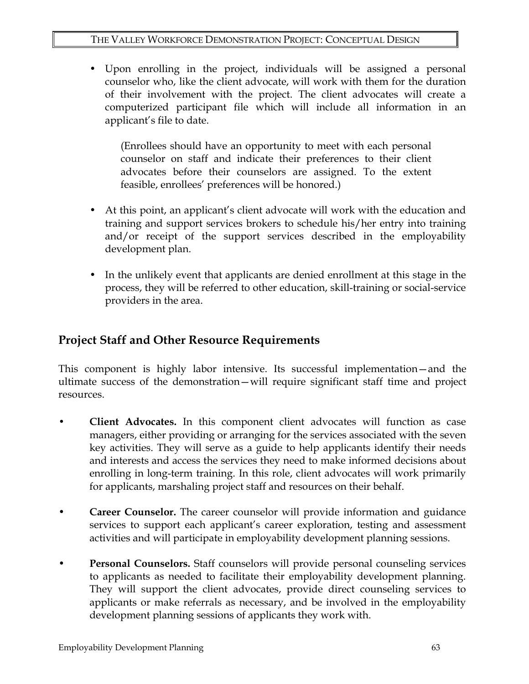• Upon enrolling in the project, individuals will be assigned a personal counselor who, like the client advocate, will work with them for the duration of their involvement with the project. The client advocates will create a computerized participant file which will include all information in an applicant's file to date.

(Enrollees should have an opportunity to meet with each personal counselor on staff and indicate their preferences to their client advocates before their counselors are assigned. To the extent feasible, enrollees' preferences will be honored.)

- At this point, an applicant's client advocate will work with the education and training and support services brokers to schedule his/her entry into training and/or receipt of the support services described in the employability development plan.
- In the unlikely event that applicants are denied enrollment at this stage in the process, they will be referred to other education, skill-training or social-service providers in the area.

## **Project Staff and Other Resource Requirements**

This component is highly labor intensive. Its successful implementation—and the ultimate success of the demonstration—will require significant staff time and project resources.

- **Client Advocates.** In this component client advocates will function as case managers, either providing or arranging for the services associated with the seven key activities. They will serve as a guide to help applicants identify their needs and interests and access the services they need to make informed decisions about enrolling in long-term training. In this role, client advocates will work primarily for applicants, marshaling project staff and resources on their behalf.
- **Career Counselor.** The career counselor will provide information and guidance services to support each applicant's career exploration, testing and assessment activities and will participate in employability development planning sessions.
- **Personal Counselors.** Staff counselors will provide personal counseling services to applicants as needed to facilitate their employability development planning. They will support the client advocates, provide direct counseling services to applicants or make referrals as necessary, and be involved in the employability development planning sessions of applicants they work with.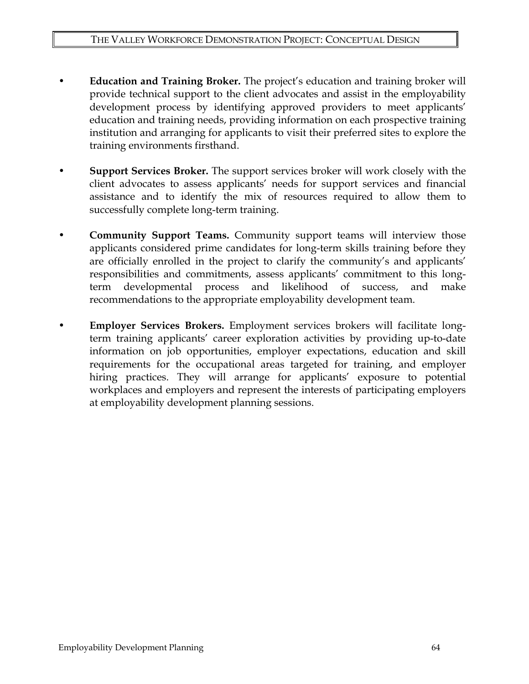- **Education and Training Broker.** The project's education and training broker will provide technical support to the client advocates and assist in the employability development process by identifying approved providers to meet applicants' education and training needs, providing information on each prospective training institution and arranging for applicants to visit their preferred sites to explore the training environments firsthand.
- **Support Services Broker.** The support services broker will work closely with the client advocates to assess applicants' needs for support services and financial assistance and to identify the mix of resources required to allow them to successfully complete long-term training.
- **Community Support Teams.** Community support teams will interview those applicants considered prime candidates for long-term skills training before they are officially enrolled in the project to clarify the community's and applicants' responsibilities and commitments, assess applicants' commitment to this longterm developmental process and likelihood of success, and make recommendations to the appropriate employability development team.
- **Employer Services Brokers.** Employment services brokers will facilitate longterm training applicants' career exploration activities by providing up-to-date information on job opportunities, employer expectations, education and skill requirements for the occupational areas targeted for training, and employer hiring practices. They will arrange for applicants' exposure to potential workplaces and employers and represent the interests of participating employers at employability development planning sessions.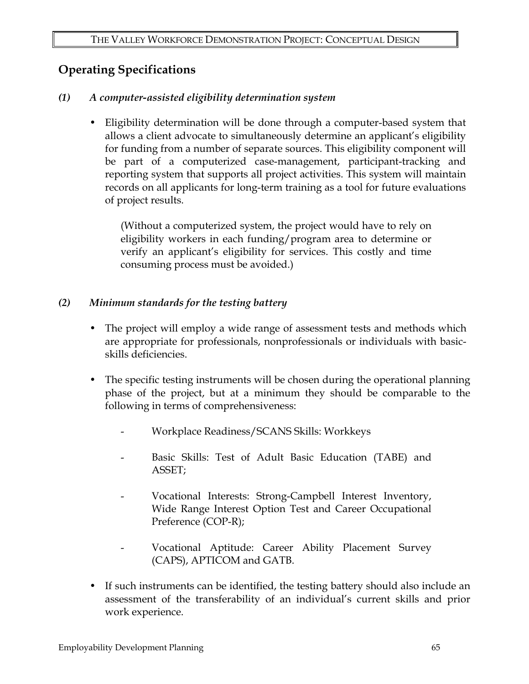# **Operating Specifications**

### *(1) A computer-assisted eligibility determination system*

• Eligibility determination will be done through a computer-based system that allows a client advocate to simultaneously determine an applicant's eligibility for funding from a number of separate sources. This eligibility component will be part of a computerized case-management, participant-tracking and reporting system that supports all project activities. This system will maintain records on all applicants for long-term training as a tool for future evaluations of project results.

(Without a computerized system, the project would have to rely on eligibility workers in each funding/program area to determine or verify an applicant's eligibility for services. This costly and time consuming process must be avoided.)

### *(2) Minimum standards for the testing battery*

- The project will employ a wide range of assessment tests and methods which are appropriate for professionals, nonprofessionals or individuals with basicskills deficiencies.
- The specific testing instruments will be chosen during the operational planning phase of the project, but at a minimum they should be comparable to the following in terms of comprehensiveness:
	- Workplace Readiness/SCANS Skills: Workkeys
	- Basic Skills: Test of Adult Basic Education (TABE) and ASSET;
	- Vocational Interests: Strong-Campbell Interest Inventory, Wide Range Interest Option Test and Career Occupational Preference (COP-R);
	- Vocational Aptitude: Career Ability Placement Survey (CAPS), APTICOM and GATB.
- If such instruments can be identified, the testing battery should also include an assessment of the transferability of an individual's current skills and prior work experience.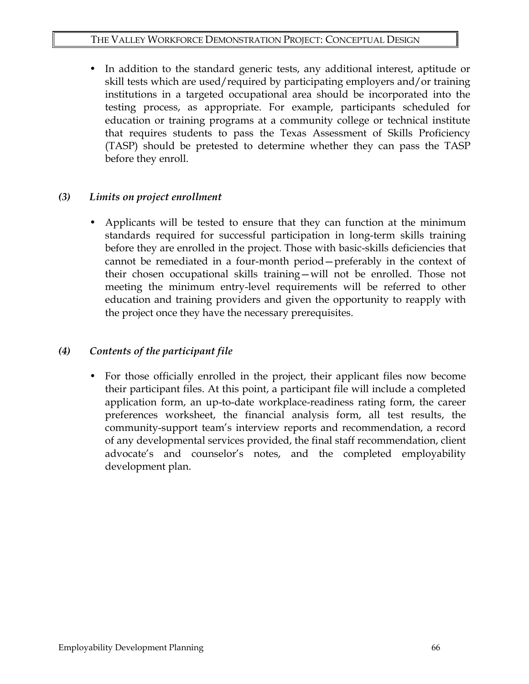• In addition to the standard generic tests, any additional interest, aptitude or skill tests which are used/required by participating employers and/or training institutions in a targeted occupational area should be incorporated into the testing process, as appropriate. For example, participants scheduled for education or training programs at a community college or technical institute that requires students to pass the Texas Assessment of Skills Proficiency (TASP) should be pretested to determine whether they can pass the TASP before they enroll.

#### *(3) Limits on project enrollment*

• Applicants will be tested to ensure that they can function at the minimum standards required for successful participation in long-term skills training before they are enrolled in the project. Those with basic-skills deficiencies that cannot be remediated in a four-month period—preferably in the context of their chosen occupational skills training—will not be enrolled. Those not meeting the minimum entry-level requirements will be referred to other education and training providers and given the opportunity to reapply with the project once they have the necessary prerequisites.

### *(4) Contents of the participant file*

• For those officially enrolled in the project, their applicant files now become their participant files. At this point, a participant file will include a completed application form, an up-to-date workplace-readiness rating form, the career preferences worksheet, the financial analysis form, all test results, the community-support team's interview reports and recommendation, a record of any developmental services provided, the final staff recommendation, client advocate's and counselor's notes, and the completed employability development plan.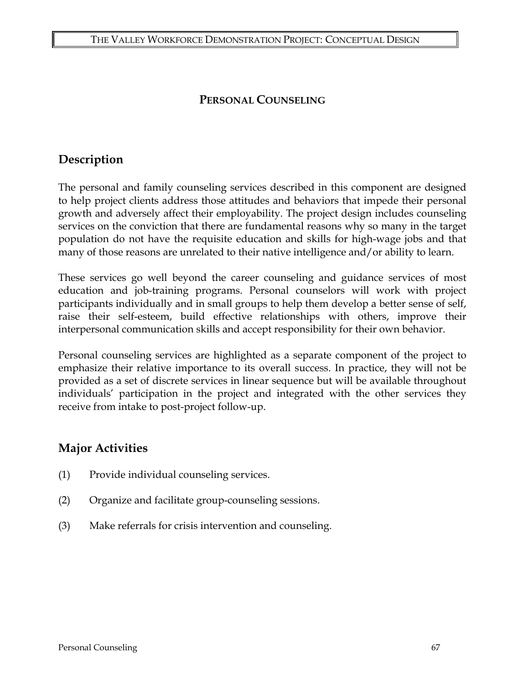## **PERSONAL COUNSELING**

# **Description**

The personal and family counseling services described in this component are designed to help project clients address those attitudes and behaviors that impede their personal growth and adversely affect their employability. The project design includes counseling services on the conviction that there are fundamental reasons why so many in the target population do not have the requisite education and skills for high-wage jobs and that many of those reasons are unrelated to their native intelligence and/or ability to learn.

These services go well beyond the career counseling and guidance services of most education and job-training programs. Personal counselors will work with project participants individually and in small groups to help them develop a better sense of self, raise their self-esteem, build effective relationships with others, improve their interpersonal communication skills and accept responsibility for their own behavior.

Personal counseling services are highlighted as a separate component of the project to emphasize their relative importance to its overall success. In practice, they will not be provided as a set of discrete services in linear sequence but will be available throughout individuals' participation in the project and integrated with the other services they receive from intake to post-project follow-up.

## **Major Activities**

- (1) Provide individual counseling services.
- (2) Organize and facilitate group-counseling sessions.
- (3) Make referrals for crisis intervention and counseling.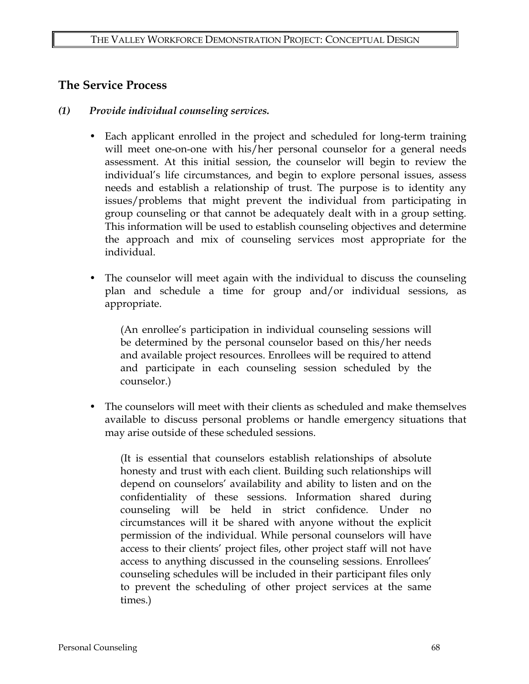### **The Service Process**

- *(1) Provide individual counseling services.* 
	- Each applicant enrolled in the project and scheduled for long-term training will meet one-on-one with his/her personal counselor for a general needs assessment. At this initial session, the counselor will begin to review the individual's life circumstances, and begin to explore personal issues, assess needs and establish a relationship of trust. The purpose is to identity any issues/problems that might prevent the individual from participating in group counseling or that cannot be adequately dealt with in a group setting. This information will be used to establish counseling objectives and determine the approach and mix of counseling services most appropriate for the individual.
	- The counselor will meet again with the individual to discuss the counseling plan and schedule a time for group and/or individual sessions, as appropriate.

(An enrollee's participation in individual counseling sessions will be determined by the personal counselor based on this/her needs and available project resources. Enrollees will be required to attend and participate in each counseling session scheduled by the counselor.)

• The counselors will meet with their clients as scheduled and make themselves available to discuss personal problems or handle emergency situations that may arise outside of these scheduled sessions.

(It is essential that counselors establish relationships of absolute honesty and trust with each client. Building such relationships will depend on counselors' availability and ability to listen and on the confidentiality of these sessions. Information shared during counseling will be held in strict confidence. Under no circumstances will it be shared with anyone without the explicit permission of the individual. While personal counselors will have access to their clients' project files, other project staff will not have access to anything discussed in the counseling sessions. Enrollees' counseling schedules will be included in their participant files only to prevent the scheduling of other project services at the same times.)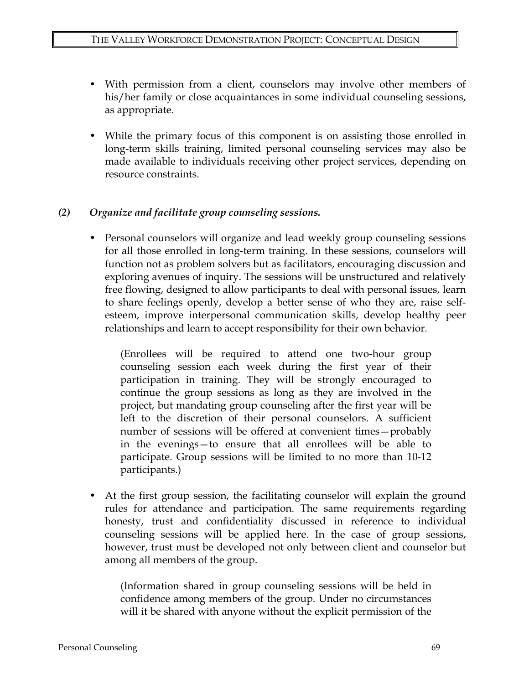- With permission from a client, counselors may involve other members of his/her family or close acquaintances in some individual counseling sessions, as appropriate.
- While the primary focus of this component is on assisting those enrolled in long-term skills training, limited personal counseling services may also be made available to individuals receiving other project services, depending on resource constraints.

### *(2) Organize and facilitate group counseling sessions.*

• Personal counselors will organize and lead weekly group counseling sessions for all those enrolled in long-term training. In these sessions, counselors will function not as problem solvers but as facilitators, encouraging discussion and exploring avenues of inquiry. The sessions will be unstructured and relatively free flowing, designed to allow participants to deal with personal issues, learn to share feelings openly, develop a better sense of who they are, raise selfesteem, improve interpersonal communication skills, develop healthy peer relationships and learn to accept responsibility for their own behavior.

(Enrollees will be required to attend one two-hour group counseling session each week during the first year of their participation in training. They will be strongly encouraged to continue the group sessions as long as they are involved in the project, but mandating group counseling after the first year will be left to the discretion of their personal counselors. A sufficient number of sessions will be offered at convenient times—probably in the evenings—to ensure that all enrollees will be able to participate. Group sessions will be limited to no more than 10-12 participants.)

• At the first group session, the facilitating counselor will explain the ground rules for attendance and participation. The same requirements regarding honesty, trust and confidentiality discussed in reference to individual counseling sessions will be applied here. In the case of group sessions, however, trust must be developed not only between client and counselor but among all members of the group.

(Information shared in group counseling sessions will be held in confidence among members of the group. Under no circumstances will it be shared with anyone without the explicit permission of the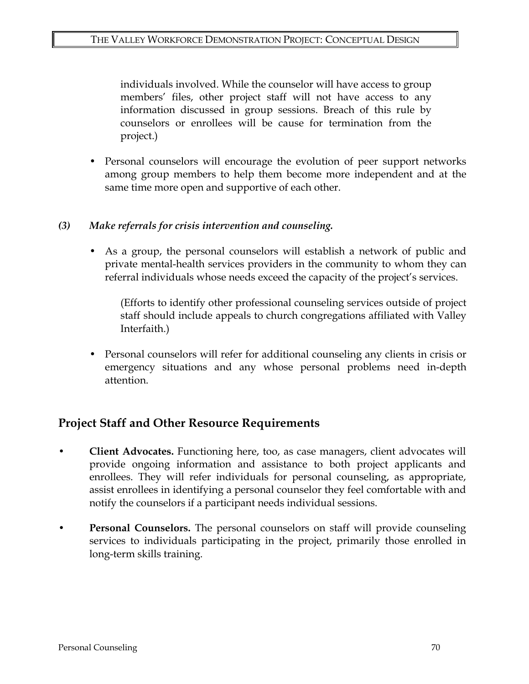individuals involved. While the counselor will have access to group members' files, other project staff will not have access to any information discussed in group sessions. Breach of this rule by counselors or enrollees will be cause for termination from the project.)

• Personal counselors will encourage the evolution of peer support networks among group members to help them become more independent and at the same time more open and supportive of each other.

### *(3) Make referrals for crisis intervention and counseling.*

As a group, the personal counselors will establish a network of public and private mental-health services providers in the community to whom they can referral individuals whose needs exceed the capacity of the project's services.

(Efforts to identify other professional counseling services outside of project staff should include appeals to church congregations affiliated with Valley Interfaith.)

• Personal counselors will refer for additional counseling any clients in crisis or emergency situations and any whose personal problems need in-depth attention.

## **Project Staff and Other Resource Requirements**

- **Client Advocates.** Functioning here, too, as case managers, client advocates will provide ongoing information and assistance to both project applicants and enrollees. They will refer individuals for personal counseling, as appropriate, assist enrollees in identifying a personal counselor they feel comfortable with and notify the counselors if a participant needs individual sessions.
- **Personal Counselors.** The personal counselors on staff will provide counseling services to individuals participating in the project, primarily those enrolled in long-term skills training.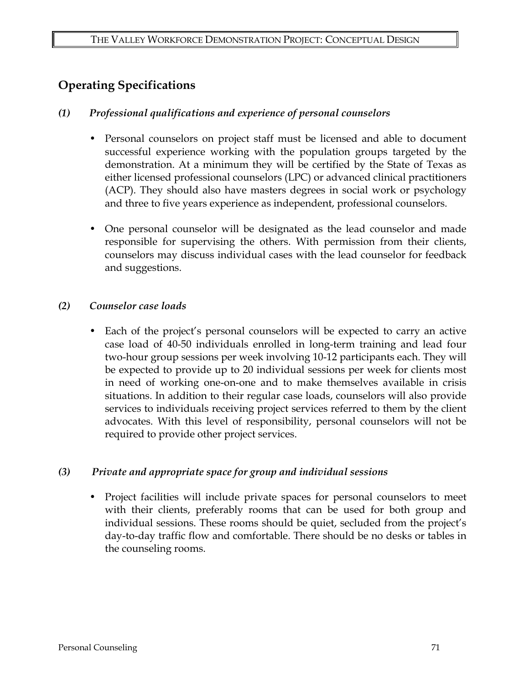# **Operating Specifications**

### *(1) Professional qualifications and experience of personal counselors*

- Personal counselors on project staff must be licensed and able to document successful experience working with the population groups targeted by the demonstration. At a minimum they will be certified by the State of Texas as either licensed professional counselors (LPC) or advanced clinical practitioners (ACP). They should also have masters degrees in social work or psychology and three to five years experience as independent, professional counselors.
- One personal counselor will be designated as the lead counselor and made responsible for supervising the others. With permission from their clients, counselors may discuss individual cases with the lead counselor for feedback and suggestions.

### *(2) Counselor case loads*

• Each of the project's personal counselors will be expected to carry an active case load of 40-50 individuals enrolled in long-term training and lead four two-hour group sessions per week involving 10-12 participants each. They will be expected to provide up to 20 individual sessions per week for clients most in need of working one-on-one and to make themselves available in crisis situations. In addition to their regular case loads, counselors will also provide services to individuals receiving project services referred to them by the client advocates. With this level of responsibility, personal counselors will not be required to provide other project services.

### *(3) Private and appropriate space for group and individual sessions*

• Project facilities will include private spaces for personal counselors to meet with their clients, preferably rooms that can be used for both group and individual sessions. These rooms should be quiet, secluded from the project's day-to-day traffic flow and comfortable. There should be no desks or tables in the counseling rooms.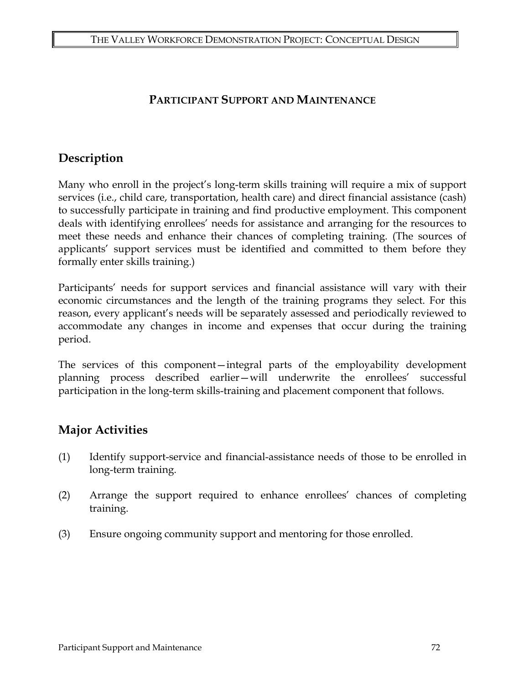## **PARTICIPANT SUPPORT AND MAINTENANCE**

# **Description**

Many who enroll in the project's long-term skills training will require a mix of support services (i.e., child care, transportation, health care) and direct financial assistance (cash) to successfully participate in training and find productive employment. This component deals with identifying enrollees' needs for assistance and arranging for the resources to meet these needs and enhance their chances of completing training. (The sources of applicants' support services must be identified and committed to them before they formally enter skills training.)

Participants' needs for support services and financial assistance will vary with their economic circumstances and the length of the training programs they select. For this reason, every applicant's needs will be separately assessed and periodically reviewed to accommodate any changes in income and expenses that occur during the training period.

The services of this component—integral parts of the employability development planning process described earlier—will underwrite the enrollees' successful participation in the long-term skills-training and placement component that follows.

# **Major Activities**

- (1) Identify support-service and financial-assistance needs of those to be enrolled in long-term training.
- (2) Arrange the support required to enhance enrollees' chances of completing training.
- (3) Ensure ongoing community support and mentoring for those enrolled.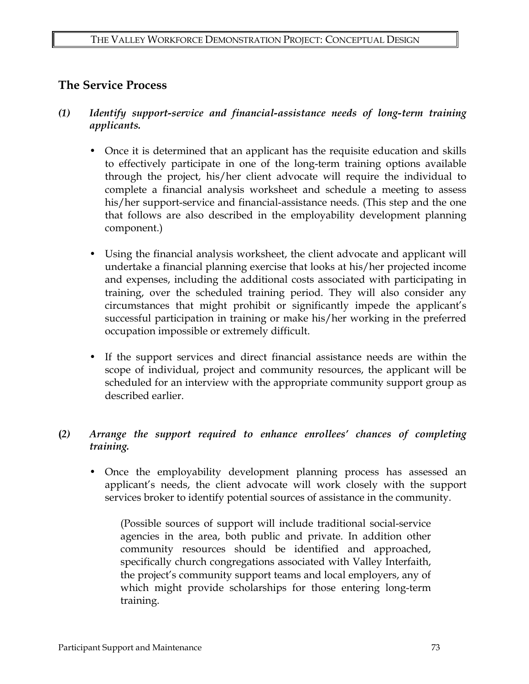## **The Service Process**

- *(1) Identify support-service and financial-assistance needs of long-term training applicants.* 
	- Once it is determined that an applicant has the requisite education and skills to effectively participate in one of the long-term training options available through the project, his/her client advocate will require the individual to complete a financial analysis worksheet and schedule a meeting to assess his/her support-service and financial-assistance needs. (This step and the one that follows are also described in the employability development planning component.)
	- Using the financial analysis worksheet, the client advocate and applicant will undertake a financial planning exercise that looks at his/her projected income and expenses, including the additional costs associated with participating in training, over the scheduled training period. They will also consider any circumstances that might prohibit or significantly impede the applicant's successful participation in training or make his/her working in the preferred occupation impossible or extremely difficult.
	- If the support services and direct financial assistance needs are within the scope of individual, project and community resources, the applicant will be scheduled for an interview with the appropriate community support group as described earlier.

### **(***2) Arrange the support required to enhance enrollees' chances of completing training.*

• Once the employability development planning process has assessed an applicant's needs, the client advocate will work closely with the support services broker to identify potential sources of assistance in the community.

(Possible sources of support will include traditional social-service agencies in the area, both public and private. In addition other community resources should be identified and approached, specifically church congregations associated with Valley Interfaith, the project's community support teams and local employers, any of which might provide scholarships for those entering long-term training.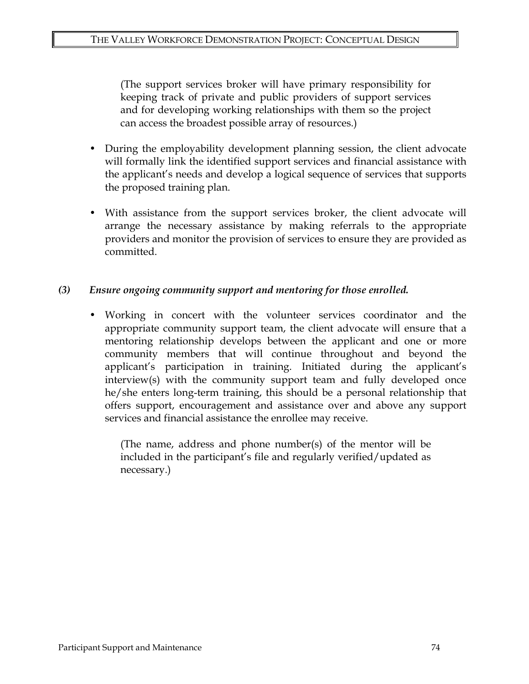(The support services broker will have primary responsibility for keeping track of private and public providers of support services and for developing working relationships with them so the project can access the broadest possible array of resources.)

- During the employability development planning session, the client advocate will formally link the identified support services and financial assistance with the applicant's needs and develop a logical sequence of services that supports the proposed training plan.
- With assistance from the support services broker, the client advocate will arrange the necessary assistance by making referrals to the appropriate providers and monitor the provision of services to ensure they are provided as committed.

### *(3) Ensure ongoing community support and mentoring for those enrolled.*

• Working in concert with the volunteer services coordinator and the appropriate community support team, the client advocate will ensure that a mentoring relationship develops between the applicant and one or more community members that will continue throughout and beyond the applicant's participation in training. Initiated during the applicant's interview(s) with the community support team and fully developed once he/she enters long-term training, this should be a personal relationship that offers support, encouragement and assistance over and above any support services and financial assistance the enrollee may receive.

(The name, address and phone number(s) of the mentor will be included in the participant's file and regularly verified/updated as necessary.)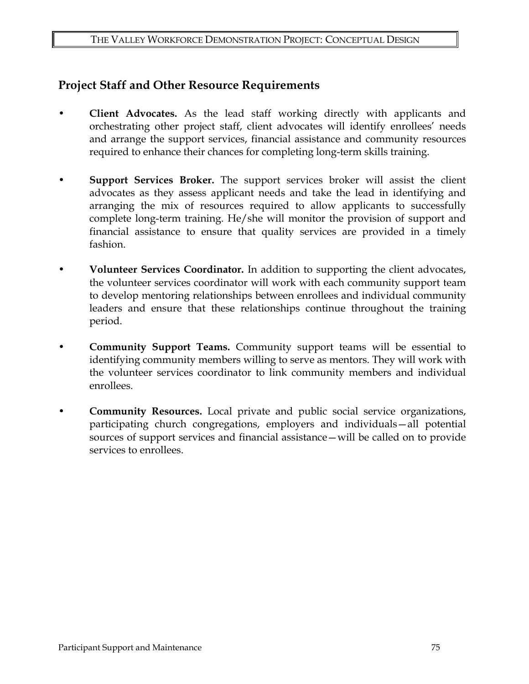## **Project Staff and Other Resource Requirements**

- **Client Advocates.** As the lead staff working directly with applicants and orchestrating other project staff, client advocates will identify enrollees' needs and arrange the support services, financial assistance and community resources required to enhance their chances for completing long-term skills training.
- **Support Services Broker.** The support services broker will assist the client advocates as they assess applicant needs and take the lead in identifying and arranging the mix of resources required to allow applicants to successfully complete long-term training. He/she will monitor the provision of support and financial assistance to ensure that quality services are provided in a timely fashion.
- **Volunteer Services Coordinator.** In addition to supporting the client advocates, the volunteer services coordinator will work with each community support team to develop mentoring relationships between enrollees and individual community leaders and ensure that these relationships continue throughout the training period.
- **Community Support Teams.** Community support teams will be essential to identifying community members willing to serve as mentors. They will work with the volunteer services coordinator to link community members and individual enrollees.
- **Community Resources.** Local private and public social service organizations, participating church congregations, employers and individuals—all potential sources of support services and financial assistance—will be called on to provide services to enrollees.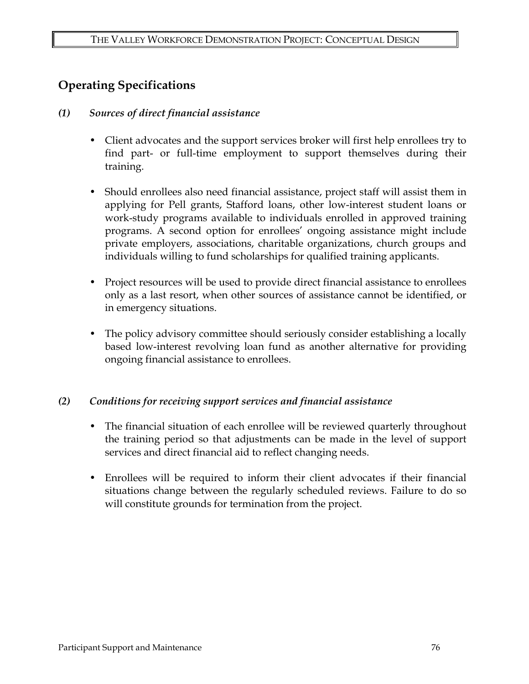# **Operating Specifications**

### *(1) Sources of direct financial assistance*

- Client advocates and the support services broker will first help enrollees try to find part- or full-time employment to support themselves during their training.
- Should enrollees also need financial assistance, project staff will assist them in applying for Pell grants, Stafford loans, other low-interest student loans or work-study programs available to individuals enrolled in approved training programs. A second option for enrollees' ongoing assistance might include private employers, associations, charitable organizations, church groups and individuals willing to fund scholarships for qualified training applicants.
- Project resources will be used to provide direct financial assistance to enrollees only as a last resort, when other sources of assistance cannot be identified, or in emergency situations.
- The policy advisory committee should seriously consider establishing a locally based low-interest revolving loan fund as another alternative for providing ongoing financial assistance to enrollees.

### *(2) Conditions for receiving support services and financial assistance*

- The financial situation of each enrollee will be reviewed quarterly throughout the training period so that adjustments can be made in the level of support services and direct financial aid to reflect changing needs.
- Enrollees will be required to inform their client advocates if their financial situations change between the regularly scheduled reviews. Failure to do so will constitute grounds for termination from the project.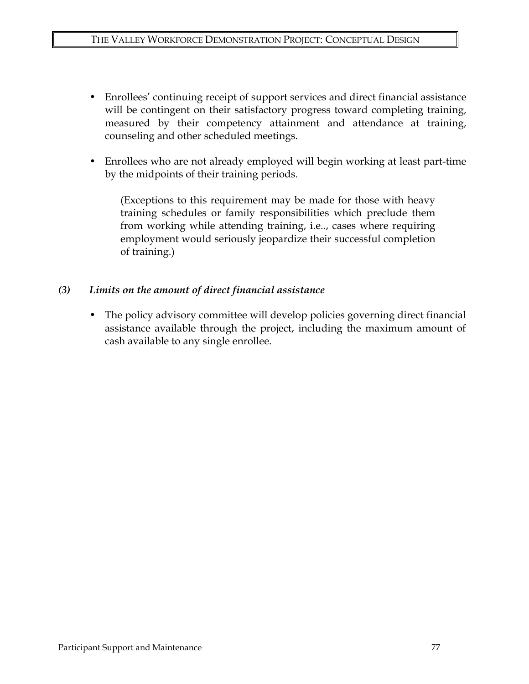- Enrollees' continuing receipt of support services and direct financial assistance will be contingent on their satisfactory progress toward completing training, measured by their competency attainment and attendance at training, counseling and other scheduled meetings.
- Enrollees who are not already employed will begin working at least part-time by the midpoints of their training periods.

(Exceptions to this requirement may be made for those with heavy training schedules or family responsibilities which preclude them from working while attending training, i.e.., cases where requiring employment would seriously jeopardize their successful completion of training.)

### *(3) Limits on the amount of direct financial assistance*

The policy advisory committee will develop policies governing direct financial assistance available through the project, including the maximum amount of cash available to any single enrollee.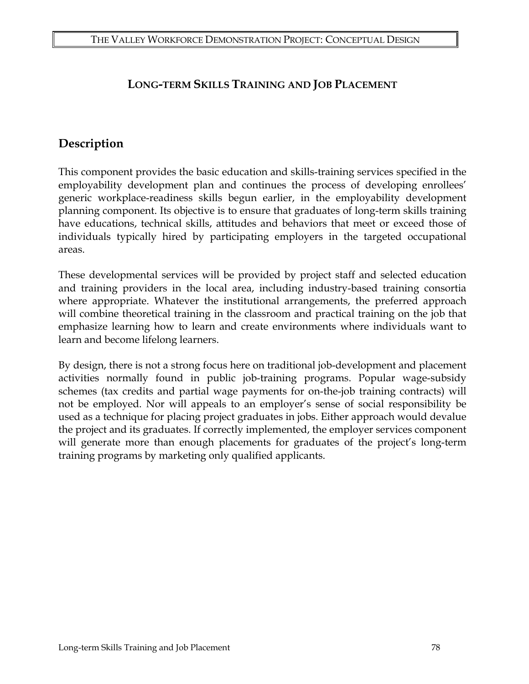# **LONG-TERM SKILLS TRAINING AND JOB PLACEMENT**

# **Description**

This component provides the basic education and skills-training services specified in the employability development plan and continues the process of developing enrollees' generic workplace-readiness skills begun earlier, in the employability development planning component. Its objective is to ensure that graduates of long-term skills training have educations, technical skills, attitudes and behaviors that meet or exceed those of individuals typically hired by participating employers in the targeted occupational areas.

These developmental services will be provided by project staff and selected education and training providers in the local area, including industry-based training consortia where appropriate. Whatever the institutional arrangements, the preferred approach will combine theoretical training in the classroom and practical training on the job that emphasize learning how to learn and create environments where individuals want to learn and become lifelong learners.

By design, there is not a strong focus here on traditional job-development and placement activities normally found in public job-training programs. Popular wage-subsidy schemes (tax credits and partial wage payments for on-the-job training contracts) will not be employed. Nor will appeals to an employer's sense of social responsibility be used as a technique for placing project graduates in jobs. Either approach would devalue the project and its graduates. If correctly implemented, the employer services component will generate more than enough placements for graduates of the project's long-term training programs by marketing only qualified applicants.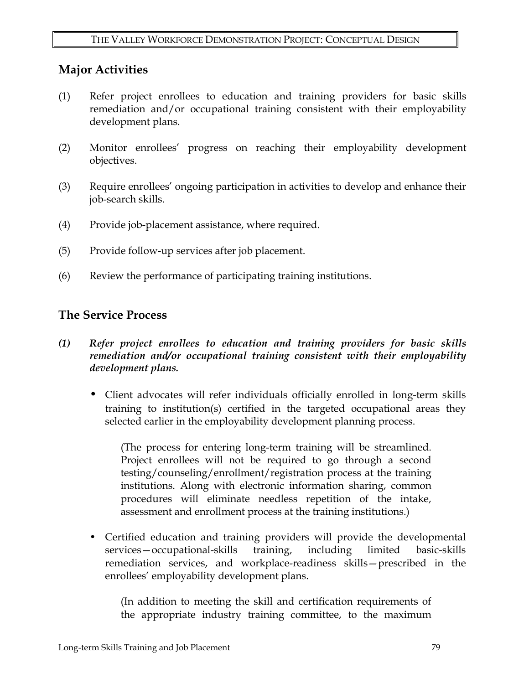## **Major Activities**

- (1) Refer project enrollees to education and training providers for basic skills remediation and/or occupational training consistent with their employability development plans.
- (2) Monitor enrollees' progress on reaching their employability development objectives.
- (3) Require enrollees' ongoing participation in activities to develop and enhance their job-search skills.
- (4) Provide job-placement assistance, where required.
- (5) Provide follow-up services after job placement.
- (6) Review the performance of participating training institutions.

## **The Service Process**

- *(1) Refer project enrollees to education and training providers for basic skills remediation and/or occupational training consistent with their employability development plans.* 
	- Client advocates will refer individuals officially enrolled in long-term skills training to institution(s) certified in the targeted occupational areas they selected earlier in the employability development planning process.

(The process for entering long-term training will be streamlined. Project enrollees will not be required to go through a second testing/counseling/enrollment/registration process at the training institutions. Along with electronic information sharing, common procedures will eliminate needless repetition of the intake, assessment and enrollment process at the training institutions.)

• Certified education and training providers will provide the developmental services—occupational-skills training, including limited basic-skills remediation services, and workplace-readiness skills—prescribed in the enrollees' employability development plans.

(In addition to meeting the skill and certification requirements of the appropriate industry training committee, to the maximum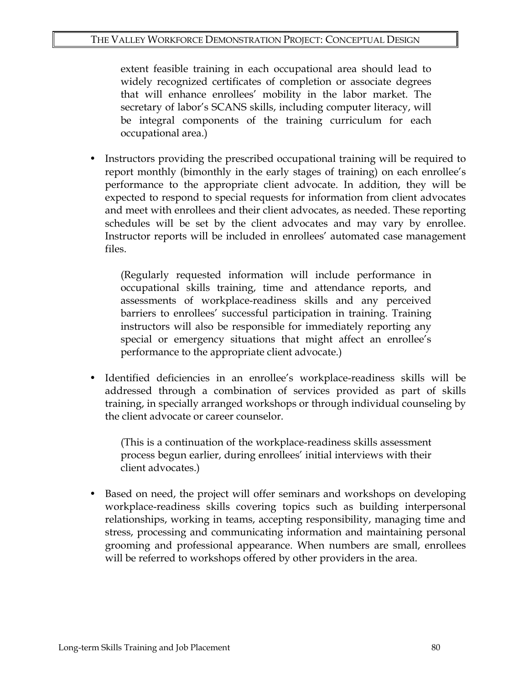extent feasible training in each occupational area should lead to widely recognized certificates of completion or associate degrees that will enhance enrollees' mobility in the labor market. The secretary of labor's SCANS skills, including computer literacy, will be integral components of the training curriculum for each occupational area.)

• Instructors providing the prescribed occupational training will be required to report monthly (bimonthly in the early stages of training) on each enrollee's performance to the appropriate client advocate. In addition, they will be expected to respond to special requests for information from client advocates and meet with enrollees and their client advocates, as needed. These reporting schedules will be set by the client advocates and may vary by enrollee. Instructor reports will be included in enrollees' automated case management files.

(Regularly requested information will include performance in occupational skills training, time and attendance reports, and assessments of workplace-readiness skills and any perceived barriers to enrollees' successful participation in training. Training instructors will also be responsible for immediately reporting any special or emergency situations that might affect an enrollee's performance to the appropriate client advocate.)

• Identified deficiencies in an enrollee's workplace-readiness skills will be addressed through a combination of services provided as part of skills training, in specially arranged workshops or through individual counseling by the client advocate or career counselor.

(This is a continuation of the workplace-readiness skills assessment process begun earlier, during enrollees' initial interviews with their client advocates.)

• Based on need, the project will offer seminars and workshops on developing workplace-readiness skills covering topics such as building interpersonal relationships, working in teams, accepting responsibility, managing time and stress, processing and communicating information and maintaining personal grooming and professional appearance. When numbers are small, enrollees will be referred to workshops offered by other providers in the area.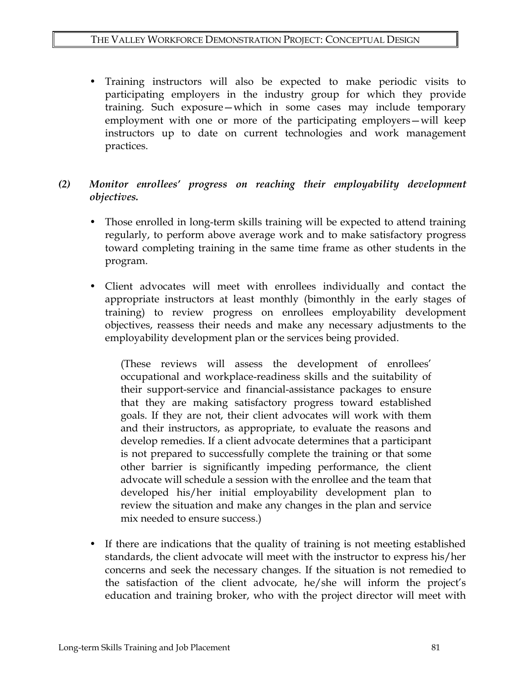• Training instructors will also be expected to make periodic visits to participating employers in the industry group for which they provide training. Such exposure—which in some cases may include temporary employment with one or more of the participating employers—will keep instructors up to date on current technologies and work management practices.

### *(2) Monitor enrollees' progress on reaching their employability development objectives.*

- Those enrolled in long-term skills training will be expected to attend training regularly, to perform above average work and to make satisfactory progress toward completing training in the same time frame as other students in the program.
- Client advocates will meet with enrollees individually and contact the appropriate instructors at least monthly (bimonthly in the early stages of training) to review progress on enrollees employability development objectives, reassess their needs and make any necessary adjustments to the employability development plan or the services being provided.

(These reviews will assess the development of enrollees' occupational and workplace-readiness skills and the suitability of their support-service and financial-assistance packages to ensure that they are making satisfactory progress toward established goals. If they are not, their client advocates will work with them and their instructors, as appropriate, to evaluate the reasons and develop remedies. If a client advocate determines that a participant is not prepared to successfully complete the training or that some other barrier is significantly impeding performance, the client advocate will schedule a session with the enrollee and the team that developed his/her initial employability development plan to review the situation and make any changes in the plan and service mix needed to ensure success.)

• If there are indications that the quality of training is not meeting established standards, the client advocate will meet with the instructor to express his/her concerns and seek the necessary changes. If the situation is not remedied to the satisfaction of the client advocate, he/she will inform the project's education and training broker, who with the project director will meet with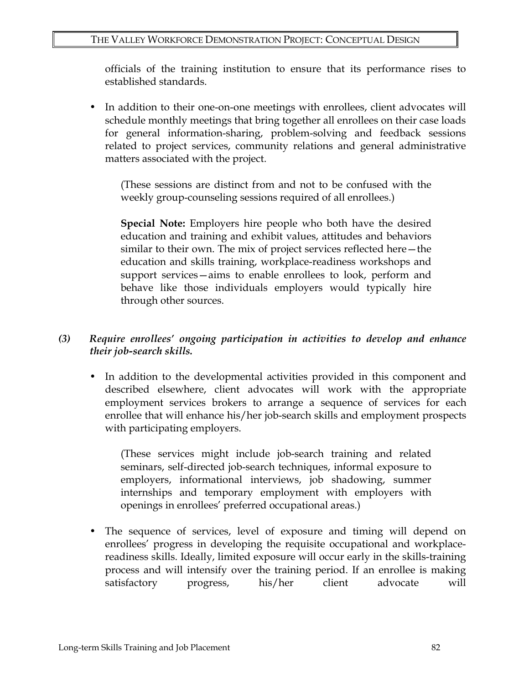officials of the training institution to ensure that its performance rises to established standards.

In addition to their one-on-one meetings with enrollees, client advocates will schedule monthly meetings that bring together all enrollees on their case loads for general information-sharing, problem-solving and feedback sessions related to project services, community relations and general administrative matters associated with the project.

(These sessions are distinct from and not to be confused with the weekly group-counseling sessions required of all enrollees.)

**Special Note:** Employers hire people who both have the desired education and training and exhibit values, attitudes and behaviors similar to their own. The mix of project services reflected here—the education and skills training, workplace-readiness workshops and support services—aims to enable enrollees to look, perform and behave like those individuals employers would typically hire through other sources.

### *(3) Require enrollees' ongoing participation in activities to develop and enhance their job-search skills.*

• In addition to the developmental activities provided in this component and described elsewhere, client advocates will work with the appropriate employment services brokers to arrange a sequence of services for each enrollee that will enhance his/her job-search skills and employment prospects with participating employers.

(These services might include job-search training and related seminars, self-directed job-search techniques, informal exposure to employers, informational interviews, job shadowing, summer internships and temporary employment with employers with openings in enrollees' preferred occupational areas.)

• The sequence of services, level of exposure and timing will depend on enrollees' progress in developing the requisite occupational and workplacereadiness skills. Ideally, limited exposure will occur early in the skills-training process and will intensify over the training period. If an enrollee is making satisfactory progress, his/her client advocate will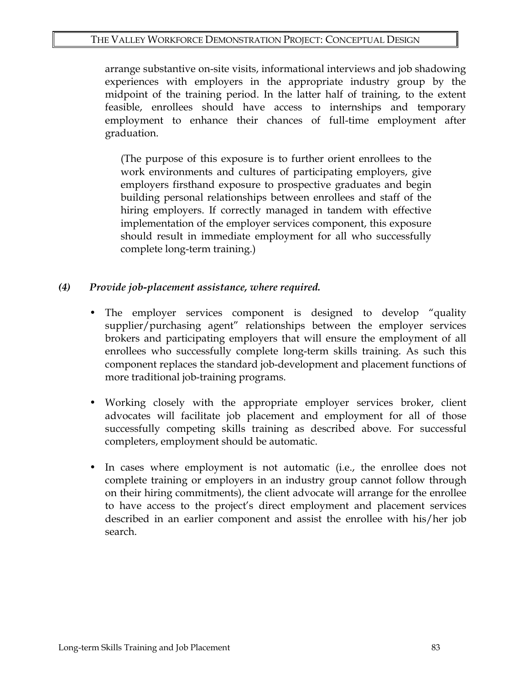arrange substantive on-site visits, informational interviews and job shadowing experiences with employers in the appropriate industry group by the midpoint of the training period. In the latter half of training, to the extent feasible, enrollees should have access to internships and temporary employment to enhance their chances of full-time employment after graduation.

(The purpose of this exposure is to further orient enrollees to the work environments and cultures of participating employers, give employers firsthand exposure to prospective graduates and begin building personal relationships between enrollees and staff of the hiring employers. If correctly managed in tandem with effective implementation of the employer services component, this exposure should result in immediate employment for all who successfully complete long-term training.)

- *(4) Provide job-placement assistance, where required.* 
	- The employer services component is designed to develop "quality supplier/purchasing agent" relationships between the employer services brokers and participating employers that will ensure the employment of all enrollees who successfully complete long-term skills training. As such this component replaces the standard job-development and placement functions of more traditional job-training programs.
	- Working closely with the appropriate employer services broker, client advocates will facilitate job placement and employment for all of those successfully competing skills training as described above. For successful completers, employment should be automatic.
	- In cases where employment is not automatic (i.e., the enrollee does not complete training or employers in an industry group cannot follow through on their hiring commitments), the client advocate will arrange for the enrollee to have access to the project's direct employment and placement services described in an earlier component and assist the enrollee with his/her job search.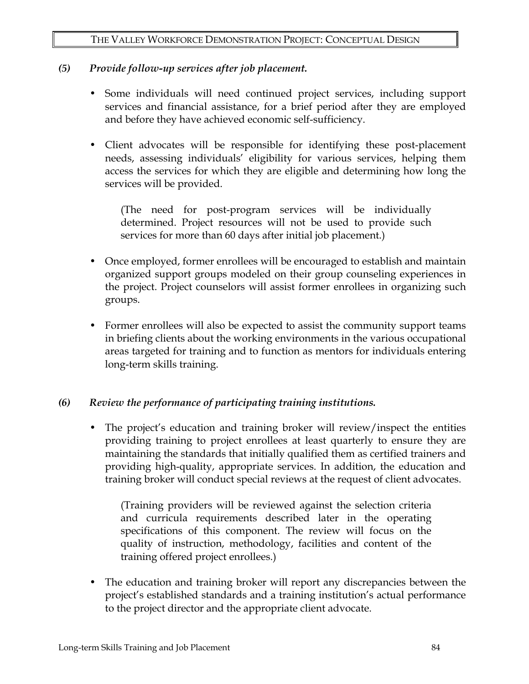### *(5) Provide follow-up services after job placement.*

- Some individuals will need continued project services, including support services and financial assistance, for a brief period after they are employed and before they have achieved economic self-sufficiency.
- Client advocates will be responsible for identifying these post-placement needs, assessing individuals' eligibility for various services, helping them access the services for which they are eligible and determining how long the services will be provided.

(The need for post-program services will be individually determined. Project resources will not be used to provide such services for more than 60 days after initial job placement.)

- Once employed, former enrollees will be encouraged to establish and maintain organized support groups modeled on their group counseling experiences in the project. Project counselors will assist former enrollees in organizing such groups.
- Former enrollees will also be expected to assist the community support teams in briefing clients about the working environments in the various occupational areas targeted for training and to function as mentors for individuals entering long-term skills training.

### *(6) Review the performance of participating training institutions.*

• The project's education and training broker will review/inspect the entities providing training to project enrollees at least quarterly to ensure they are maintaining the standards that initially qualified them as certified trainers and providing high-quality, appropriate services. In addition, the education and training broker will conduct special reviews at the request of client advocates.

(Training providers will be reviewed against the selection criteria and curricula requirements described later in the operating specifications of this component. The review will focus on the quality of instruction, methodology, facilities and content of the training offered project enrollees.)

The education and training broker will report any discrepancies between the project's established standards and a training institution's actual performance to the project director and the appropriate client advocate.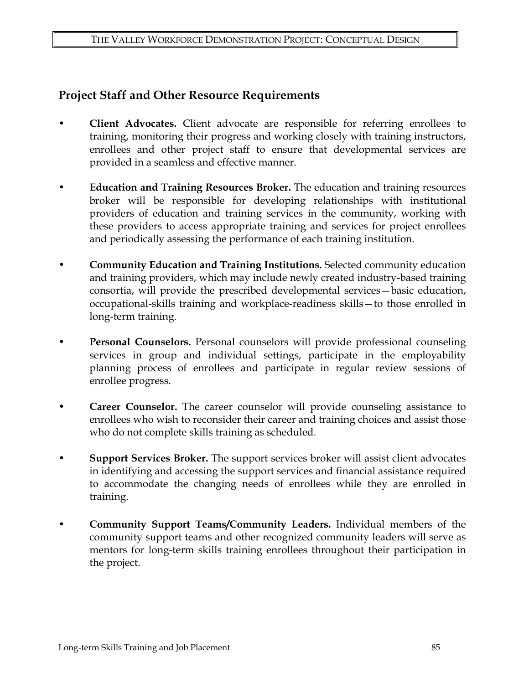# **Project Staff and Other Resource Requirements**

- **Client Advocates.** Client advocate are responsible for referring enrollees to training, monitoring their progress and working closely with training instructors, enrollees and other project staff to ensure that developmental services are provided in a seamless and effective manner.
- **Education and Training Resources Broker.** The education and training resources broker will be responsible for developing relationships with institutional providers of education and training services in the community, working with these providers to access appropriate training and services for project enrollees and periodically assessing the performance of each training institution.
- **Community Education and Training Institutions.** Selected community education and training providers, which may include newly created industry-based training consortia, will provide the prescribed developmental services—basic education, occupational-skills training and workplace-readiness skills—to those enrolled in long-term training.
- **Personal Counselors.** Personal counselors will provide professional counseling services in group and individual settings, participate in the employability planning process of enrollees and participate in regular review sessions of enrollee progress.
- **Career Counselor.** The career counselor will provide counseling assistance to enrollees who wish to reconsider their career and training choices and assist those who do not complete skills training as scheduled.
- **Support Services Broker.** The support services broker will assist client advocates in identifying and accessing the support services and financial assistance required to accommodate the changing needs of enrollees while they are enrolled in training.
- **Community Support Teams/Community Leaders.** Individual members of the community support teams and other recognized community leaders will serve as mentors for long-term skills training enrollees throughout their participation in the project.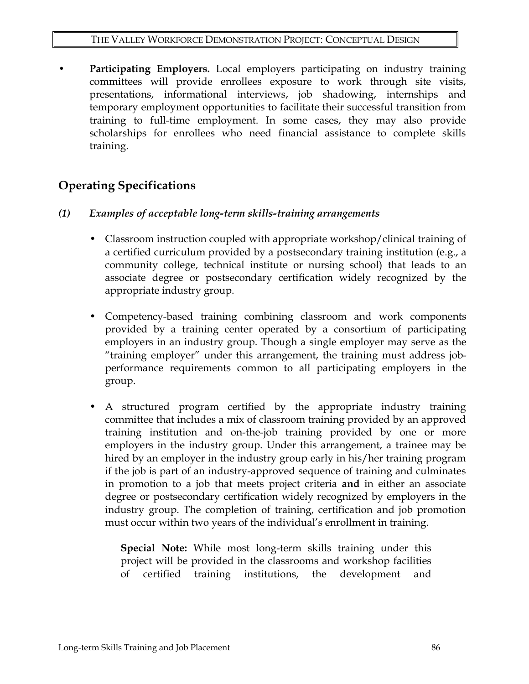**Participating Employers.** Local employers participating on industry training committees will provide enrollees exposure to work through site visits, presentations, informational interviews, job shadowing, internships and temporary employment opportunities to facilitate their successful transition from training to full-time employment. In some cases, they may also provide scholarships for enrollees who need financial assistance to complete skills training.

# **Operating Specifications**

- *(1) Examples of acceptable long-term skills-training arrangements* 
	- Classroom instruction coupled with appropriate workshop/clinical training of a certified curriculum provided by a postsecondary training institution (e.g., a community college, technical institute or nursing school) that leads to an associate degree or postsecondary certification widely recognized by the appropriate industry group.
	- Competency-based training combining classroom and work components provided by a training center operated by a consortium of participating employers in an industry group. Though a single employer may serve as the "training employer" under this arrangement, the training must address jobperformance requirements common to all participating employers in the group.
	- A structured program certified by the appropriate industry training committee that includes a mix of classroom training provided by an approved training institution and on-the-job training provided by one or more employers in the industry group. Under this arrangement, a trainee may be hired by an employer in the industry group early in his/her training program if the job is part of an industry-approved sequence of training and culminates in promotion to a job that meets project criteria **and** in either an associate degree or postsecondary certification widely recognized by employers in the industry group. The completion of training, certification and job promotion must occur within two years of the individual's enrollment in training.

**Special Note:** While most long-term skills training under this project will be provided in the classrooms and workshop facilities of certified training institutions, the development and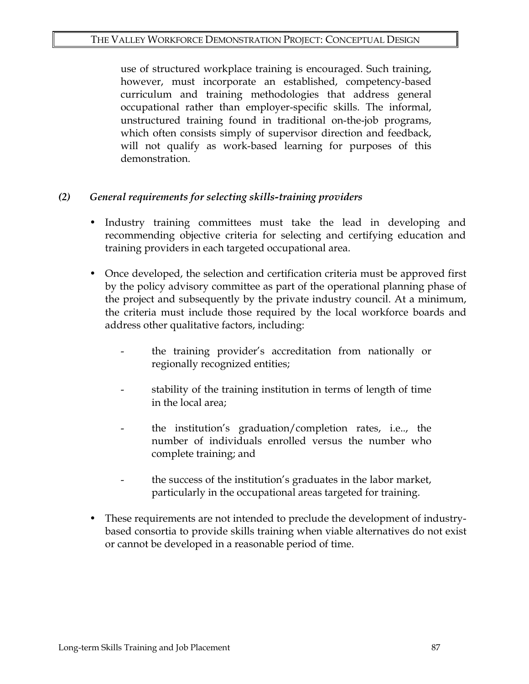use of structured workplace training is encouraged. Such training, however, must incorporate an established, competency-based curriculum and training methodologies that address general occupational rather than employer-specific skills. The informal, unstructured training found in traditional on-the-job programs, which often consists simply of supervisor direction and feedback, will not qualify as work-based learning for purposes of this demonstration.

### *(2) General requirements for selecting skills-training providers*

- Industry training committees must take the lead in developing and recommending objective criteria for selecting and certifying education and training providers in each targeted occupational area.
- Once developed, the selection and certification criteria must be approved first by the policy advisory committee as part of the operational planning phase of the project and subsequently by the private industry council. At a minimum, the criteria must include those required by the local workforce boards and address other qualitative factors, including:
	- the training provider's accreditation from nationally or regionally recognized entities;
	- stability of the training institution in terms of length of time in the local area;
	- the institution's graduation/completion rates, i.e.., the number of individuals enrolled versus the number who complete training; and
	- the success of the institution's graduates in the labor market, particularly in the occupational areas targeted for training.
- These requirements are not intended to preclude the development of industrybased consortia to provide skills training when viable alternatives do not exist or cannot be developed in a reasonable period of time.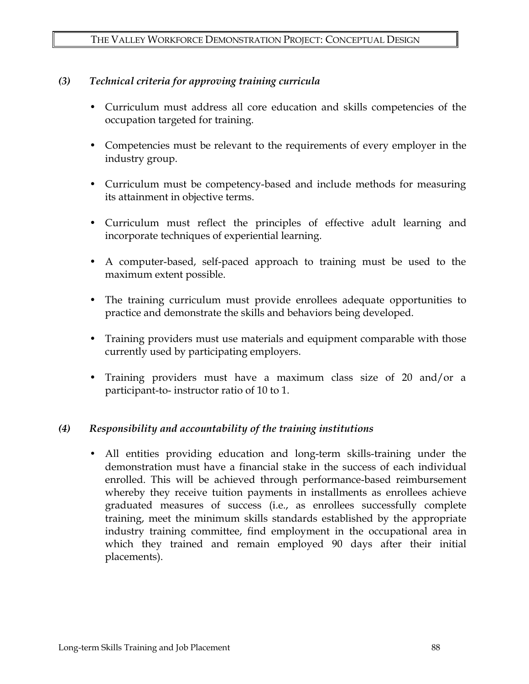### *(3) Technical criteria for approving training curricula*

- Curriculum must address all core education and skills competencies of the occupation targeted for training.
- Competencies must be relevant to the requirements of every employer in the industry group.
- Curriculum must be competency-based and include methods for measuring its attainment in objective terms.
- Curriculum must reflect the principles of effective adult learning and incorporate techniques of experiential learning.
- A computer-based, self-paced approach to training must be used to the maximum extent possible.
- The training curriculum must provide enrollees adequate opportunities to practice and demonstrate the skills and behaviors being developed.
- Training providers must use materials and equipment comparable with those currently used by participating employers.
- Training providers must have a maximum class size of 20 and/or a participant-to- instructor ratio of 10 to 1.

### *(4) Responsibility and accountability of the training institutions*

 **•** All entities providing education and long-term skills-training under the demonstration must have a financial stake in the success of each individual enrolled. This will be achieved through performance-based reimbursement whereby they receive tuition payments in installments as enrollees achieve graduated measures of success (i.e., as enrollees successfully complete training, meet the minimum skills standards established by the appropriate industry training committee, find employment in the occupational area in which they trained and remain employed 90 days after their initial placements).